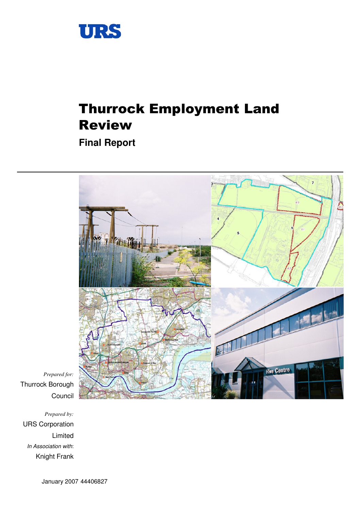

# Thurrock Employment Land Review

**Final Report** 



*Prepared for:*  Thurrock Borough Council

*Prepared by:*  URS Corporation Limited In Association with: Knight Frank

January 2007 44406827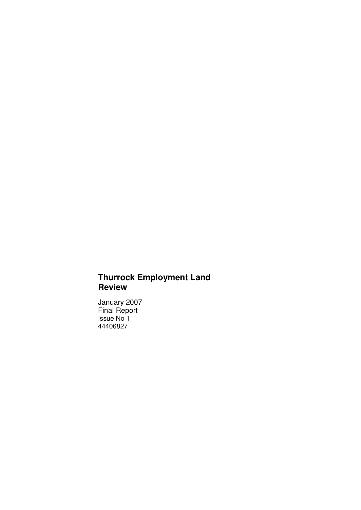# **Thurrock Employment Land Review**

January 2007 Final Report Issue No 1 44406827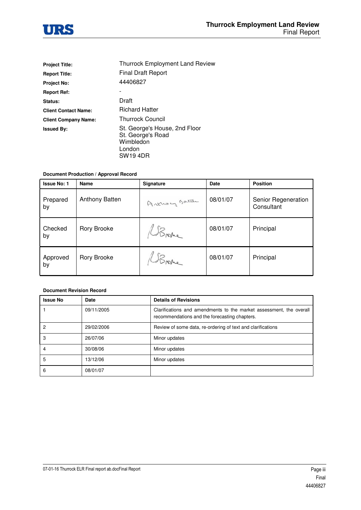

| <b>Project Title:</b>       | <b>Thurrock Employment Land Review</b>                                                |
|-----------------------------|---------------------------------------------------------------------------------------|
| <b>Report Title:</b>        | <b>Final Draft Report</b>                                                             |
| <b>Project No:</b>          | 44406827                                                                              |
| <b>Report Ref:</b>          |                                                                                       |
| Status:                     | Draft                                                                                 |
| <b>Client Contact Name:</b> | <b>Richard Hatter</b>                                                                 |
| <b>Client Company Name:</b> | <b>Thurrock Council</b>                                                               |
| <b>Issued By:</b>           | St. George's House, 2nd Floor<br>St. George's Road<br>Wimbledon<br>London<br>SW19 4DR |

#### **Document Production / Approval Record**

| <b>Issue No: 1</b> | <b>Name</b>           | Signature      | <b>Date</b> | <b>Position</b>                   |
|--------------------|-----------------------|----------------|-------------|-----------------------------------|
| Prepared<br>by     | <b>Anthony Batten</b> | Arknory Batter | 08/01/07    | Senior Regeneration<br>Consultant |
| Checked<br>by      | Rory Brooke           | Broke          | 08/01/07    | Principal                         |
| Approved<br>by     | Rory Brooke           | Broke          | 08/01/07    | Principal                         |

#### **Document Revision Record**

| <b>Issue No</b> | Date       | <b>Details of Revisions</b>                                                                                          |
|-----------------|------------|----------------------------------------------------------------------------------------------------------------------|
|                 | 09/11/2005 | Clarifications and amendments to the market assessment, the overall<br>recommendations and the forecasting chapters. |
| 2               | 29/02/2006 | Review of some data, re-ordering of text and clarifications                                                          |
| 3               | 26/07/06   | Minor updates                                                                                                        |
|                 | 30/08/06   | Minor updates                                                                                                        |
| 5               | 13/12/06   | Minor updates                                                                                                        |
| 6               | 08/01/07   |                                                                                                                      |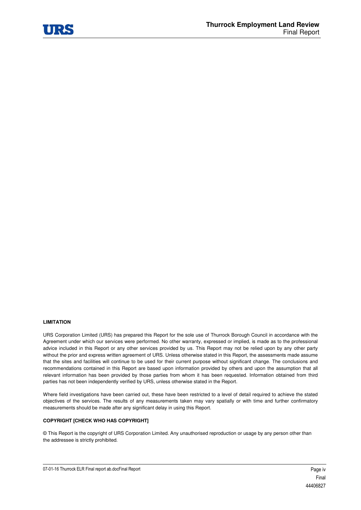

#### **LIMITATION**

URS Corporation Limited (URS) has prepared this Report for the sole use of Thurrock Borough Council in accordance with the Agreement under which our services were performed. No other warranty, expressed or implied, is made as to the professional advice included in this Report or any other services provided by us. This Report may not be relied upon by any other party without the prior and express written agreement of URS. Unless otherwise stated in this Report, the assessments made assume that the sites and facilities will continue to be used for their current purpose without significant change. The conclusions and recommendations contained in this Report are based upon information provided by others and upon the assumption that all relevant information has been provided by those parties from whom it has been requested. Information obtained from third parties has not been independently verified by URS, unless otherwise stated in the Report.

Where field investigations have been carried out, these have been restricted to a level of detail required to achieve the stated objectives of the services. The results of any measurements taken may vary spatially or with time and further confirmatory measurements should be made after any significant delay in using this Report.

#### **COPYRIGHT [CHECK WHO HAS COPYRIGHT]**

© This Report is the copyright of URS Corporation Limited. Any unauthorised reproduction or usage by any person other than the addressee is strictly prohibited.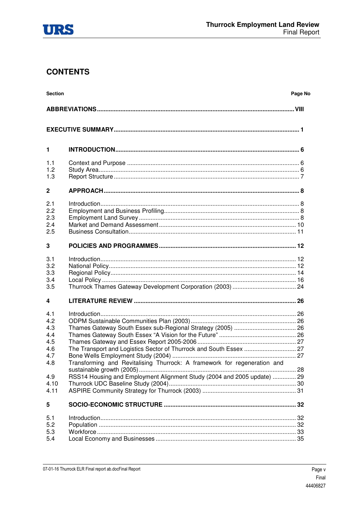

# **CONTENTS**

| <b>Section</b>                                              |                                                                         | Page No |
|-------------------------------------------------------------|-------------------------------------------------------------------------|---------|
|                                                             |                                                                         |         |
|                                                             |                                                                         |         |
| $\mathbf{1}$                                                |                                                                         |         |
| 1.1<br>1.2<br>1.3                                           |                                                                         |         |
| $\mathbf{2}$                                                |                                                                         |         |
| 2.1<br>2.2<br>2.3<br>2.4<br>2.5                             |                                                                         |         |
| 3                                                           |                                                                         |         |
| 3.1<br>3.2<br>3.3<br>3.4<br>3.5                             |                                                                         |         |
| 4                                                           |                                                                         |         |
| 4.1<br>4.2<br>4.3<br>4.4<br>4.5<br>4.6<br>4.7<br>4.8<br>4.9 | RSS14 Housing and Employment Alignment Study (2004 and 2005 update)  29 |         |
| 4.10<br>4.11                                                |                                                                         |         |
| 5                                                           |                                                                         |         |
| 5.1<br>5.2<br>5.3<br>5.4                                    |                                                                         |         |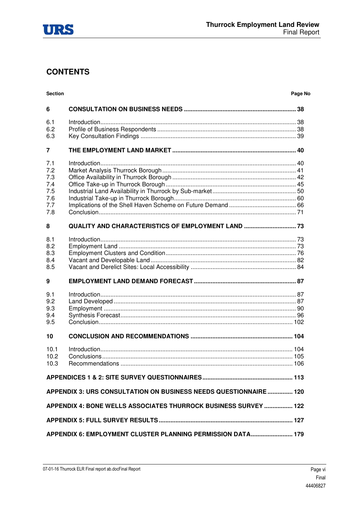

# **CONTENTS**

| <b>Section</b>                                       |                                                                  | Page No |
|------------------------------------------------------|------------------------------------------------------------------|---------|
| 6                                                    |                                                                  |         |
| 6.1<br>6.2<br>6.3                                    |                                                                  |         |
| 7                                                    |                                                                  |         |
| 7.1<br>7.2<br>7.3<br>7.4<br>7.5<br>7.6<br>7.7<br>7.8 |                                                                  |         |
| 8                                                    | QUALITY AND CHARACTERISTICS OF EMPLOYMENT LAND  73               |         |
| 8.1<br>8.2<br>8.3<br>8.4<br>8.5                      |                                                                  |         |
| 9                                                    |                                                                  |         |
| 9.1<br>9.2<br>9.3<br>9.4<br>9.5                      |                                                                  |         |
| 10                                                   |                                                                  |         |
| 10.1<br>10.2<br>10.3                                 |                                                                  |         |
|                                                      |                                                                  |         |
|                                                      | APPENDIX 3: URS CONSULTATION ON BUSINESS NEEDS QUESTIONNAIRE 120 |         |
|                                                      | APPENDIX 4: BONE WELLS ASSOCIATES THURROCK BUSINESS SURVEY  122  |         |
|                                                      |                                                                  |         |
|                                                      | APPENDIX 6: EMPLOYMENT CLUSTER PLANNING PERMISSION DATA 179      |         |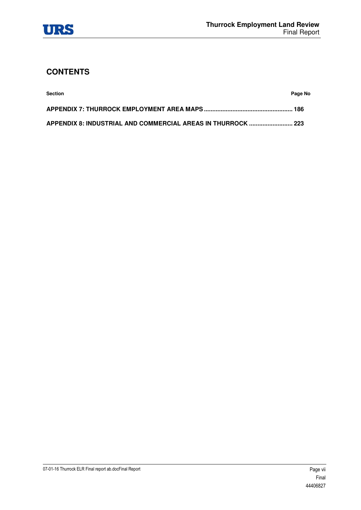

# **CONTENTS**

| <b>Section</b> | Page No |
|----------------|---------|
|                |         |
|                |         |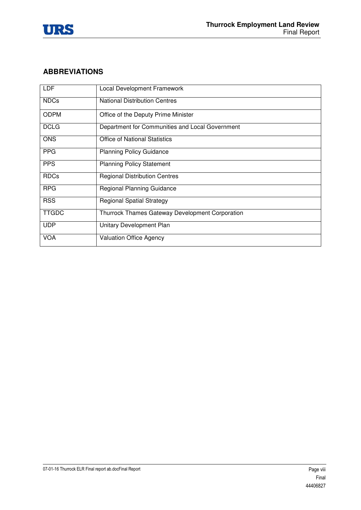

# **ABBREVIATIONS**

| <b>LDF</b>   | Local Development Framework                            |
|--------------|--------------------------------------------------------|
| <b>NDCs</b>  | <b>National Distribution Centres</b>                   |
| <b>ODPM</b>  | Office of the Deputy Prime Minister                    |
| <b>DCLG</b>  | Department for Communities and Local Government        |
| <b>ONS</b>   | <b>Office of National Statistics</b>                   |
| <b>PPG</b>   | <b>Planning Policy Guidance</b>                        |
| <b>PPS</b>   | <b>Planning Policy Statement</b>                       |
| <b>RDCs</b>  | <b>Regional Distribution Centres</b>                   |
| <b>RPG</b>   | <b>Regional Planning Guidance</b>                      |
| <b>RSS</b>   | <b>Regional Spatial Strategy</b>                       |
| <b>TTGDC</b> | <b>Thurrock Thames Gateway Development Corporation</b> |
| <b>UDP</b>   | Unitary Development Plan                               |
| <b>VOA</b>   | <b>Valuation Office Agency</b>                         |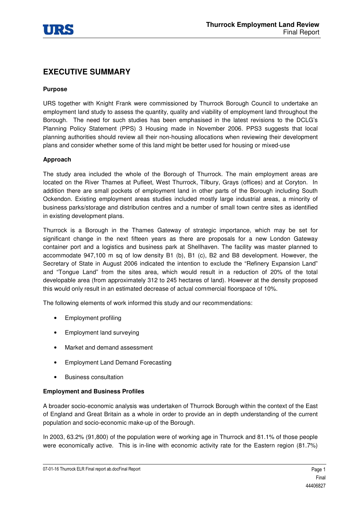

# **EXECUTIVE SUMMARY**

#### **Purpose**

URS together with Knight Frank were commissioned by Thurrock Borough Council to undertake an employment land study to assess the quantity, quality and viability of employment land throughout the Borough. The need for such studies has been emphasised in the latest revisions to the DCLG's Planning Policy Statement (PPS) 3 Housing made in November 2006. PPS3 suggests that local planning authorities should review all their non-housing allocations when reviewing their development plans and consider whether some of this land might be better used for housing or mixed-use

#### **Approach**

The study area included the whole of the Borough of Thurrock. The main employment areas are located on the River Thames at Pufleet, West Thurrock, Tilbury, Grays (offices) and at Coryton. In addition there are small pockets of employment land in other parts of the Borough including South Ockendon. Existing employment areas studies included mostly large industrial areas, a minority of business parks/storage and distribution centres and a number of small town centre sites as identified in existing development plans.

Thurrock is a Borough in the Thames Gateway of strategic importance, which may be set for significant change in the next fifteen years as there are proposals for a new London Gateway container port and a logistics and business park at Shellhaven. The facility was master planned to accommodate 947,100 m sq of low density B1 (b), B1 (c), B2 and B8 development. However, the Secretary of State in August 2006 indicated the intention to exclude the "Refinery Expansion Land" and "Tongue Land" from the sites area, which would result in a reduction of 20% of the total developable area (from approximately 312 to 245 hectares of land). However at the density proposed this would only result in an estimated decrease of actual commercial floorspace of 10%.

The following elements of work informed this study and our recommendations:

- Employment profiling
- Employment land surveying
- Market and demand assessment
- Employment Land Demand Forecasting
- Business consultation

#### **Employment and Business Profiles**

A broader socio-economic analysis was undertaken of Thurrock Borough within the context of the East of England and Great Britain as a whole in order to provide an in depth understanding of the current population and socio-economic make-up of the Borough.

In 2003, 63.2% (91,800) of the population were of working age in Thurrock and 81.1% of those people were economically active. This is in-line with economic activity rate for the Eastern region (81.7%)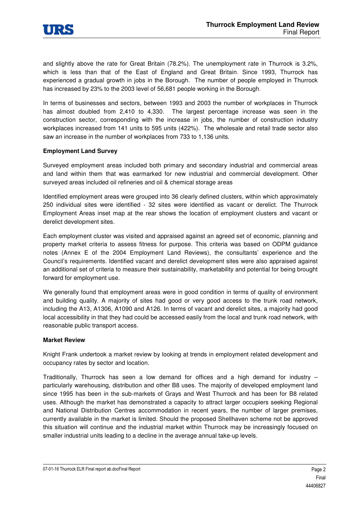

and slightly above the rate for Great Britain (78.2%). The unemployment rate in Thurrock is 3.2%, which is less than that of the East of England and Great Britain. Since 1993, Thurrock has experienced a gradual growth in jobs in the Borough. The number of people employed in Thurrock has increased by 23% to the 2003 level of 56,681 people working in the Borough.

In terms of businesses and sectors, between 1993 and 2003 the number of workplaces in Thurrock has almost doubled from 2,410 to 4,330. The largest percentage increase was seen in the construction sector, corresponding with the increase in jobs, the number of construction industry workplaces increased from 141 units to 595 units (422%). The wholesale and retail trade sector also saw an increase in the number of workplaces from 733 to 1,136 units.

#### **Employment Land Survey**

Surveyed employment areas included both primary and secondary industrial and commercial areas and land within them that was earmarked for new industrial and commercial development. Other surveyed areas included oil refineries and oil & chemical storage areas

Identified employment areas were grouped into 36 clearly defined clusters, within which approximately 250 individual sites were identified - 32 sites were identified as vacant or derelict. The Thurrock Employment Areas inset map at the rear shows the location of employment clusters and vacant or derelict development sites.

Each employment cluster was visited and appraised against an agreed set of economic, planning and property market criteria to assess fitness for purpose. This criteria was based on ODPM guidance notes (Annex E of the 2004 Employment Land Reviews), the consultants' experience and the Council's requirements. Identified vacant and derelict development sites were also appraised against an additional set of criteria to measure their sustainability, marketability and potential for being brought forward for employment use.

We generally found that employment areas were in good condition in terms of quality of environment and building quality. A majority of sites had good or very good access to the trunk road network, including the A13, A1306, A1090 and A126. In terms of vacant and derelict sites, a majority had good local accessibility in that they had could be accessed easily from the local and trunk road network, with reasonable public transport access.

#### **Market Review**

Knight Frank undertook a market review by looking at trends in employment related development and occupancy rates by sector and location.

Traditionally, Thurrock has seen a low demand for offices and a high demand for industry – particularly warehousing, distribution and other B8 uses. The majority of developed employment land since 1995 has been in the sub-markets of Grays and West Thurrock and has been for B8 related uses. Although the market has demonstrated a capacity to attract larger occupiers seeking Regional and National Distribution Centres accommodation in recent years, the number of larger premises, currently available in the market is limited. Should the proposed Shellhaven scheme not be approved this situation will continue and the industrial market within Thurrock may be increasingly focused on smaller industrial units leading to a decline in the average annual take-up levels.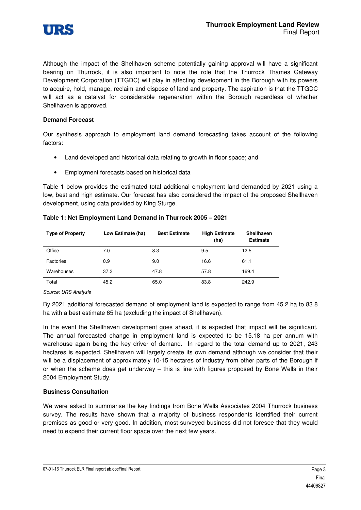

Although the impact of the Shellhaven scheme potentially gaining approval will have a significant bearing on Thurrock, it is also important to note the role that the Thurrock Thames Gateway Development Corporation (TTGDC) will play in affecting development in the Borough with its powers to acquire, hold, manage, reclaim and dispose of land and property. The aspiration is that the TTGDC will act as a catalyst for considerable regeneration within the Borough regardless of whether Shellhaven is approved.

#### **Demand Forecast**

Our synthesis approach to employment land demand forecasting takes account of the following factors:

- Land developed and historical data relating to growth in floor space; and
- Employment forecasts based on historical data

Table 1 below provides the estimated total additional employment land demanded by 2021 using a low, best and high estimate. Our forecast has also considered the impact of the proposed Shellhaven development, using data provided by King Sturge.

| <b>Type of Property</b> | Low Estimate (ha) | <b>Best Estimate</b> | <b>High Estimate</b><br>(ha) | <b>Shellhaven</b><br><b>Estimate</b> |
|-------------------------|-------------------|----------------------|------------------------------|--------------------------------------|
| Office                  | 7.0               | 8.3                  | 9.5                          | 12.5                                 |
| Factories               | 0.9               | 9.0                  | 16.6                         | 61.1                                 |
| Warehouses              | 37.3              | 47.8                 | 57.8                         | 169.4                                |
| Total                   | 45.2              | 65.0                 | 83.8                         | 242.9                                |

#### **Table 1: Net Employment Land Demand in Thurrock 2005 – 2021**

Source: URS Analysis

By 2021 additional forecasted demand of employment land is expected to range from 45.2 ha to 83.8 ha with a best estimate 65 ha (excluding the impact of Shellhaven).

In the event the Shellhaven development goes ahead, it is expected that impact will be significant. The annual forecasted change in employment land is expected to be 15.18 ha per annum with warehouse again being the key driver of demand. In regard to the total demand up to 2021, 243 hectares is expected. Shellhaven will largely create its own demand although we consider that their will be a displacement of approximately 10-15 hectares of industry from other parts of the Borough if or when the scheme does get underway – this is line with figures proposed by Bone Wells in their 2004 Employment Study.

#### **Business Consultation**

We were asked to summarise the key findings from Bone Wells Associates 2004 Thurrock business survey. The results have shown that a majority of business respondents identified their current premises as good or very good. In addition, most surveyed business did not foresee that they would need to expend their current floor space over the next few years.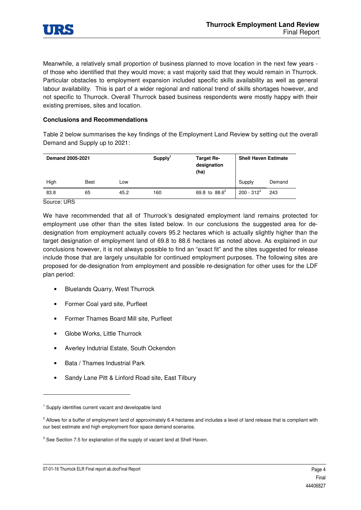

Meanwhile, a relatively small proportion of business planned to move location in the next few years of those who identified that they would move; a vast majority said that they would remain in Thurrock. Particular obstacles to employment expansion included specific skills availability as well as general labour availability. This is part of a wider regional and national trend of skills shortages however, and not specific to Thurrock. Overall Thurrock based business respondents were mostly happy with their existing premises, sites and location.

#### **Conclusions and Recommendations**

Table 2 below summarises the key findings of the Employment Land Review by setting out the overall Demand and Supply up to 2021:

| <b>Demand 2005-2021</b> |             |      | Supply <sup>1</sup> | Target Re-<br>designation<br>(ha) | <b>Shell Haven Estimate</b> |        |
|-------------------------|-------------|------|---------------------|-----------------------------------|-----------------------------|--------|
| High                    | <b>Best</b> | Low  |                     |                                   | Supply                      | Demand |
| 83.8                    | 65          | 45.2 | 160                 | 69.8 to $88.6^2$                  | $200 - 312^{3}$             | 243    |

Source: URS

1

We have recommended that all of Thurrock's designated employment land remains protected for employment use other than the sites listed below. In our conclusions the suggested area for dedesignation from employment actually covers 95.2 hectares which is actually slightly higher than the target designation of employment land of 69.8 to 88.6 hectares as noted above. As explained in our conclusions however, it is not always possible to find an "exact fit" and the sites suggested for release include those that are largely unsuitable for continued employment purposes. The following sites are proposed for de-designation from employment and possible re-designation for other uses for the LDF plan period:

- Bluelands Quarry, West Thurrock
- Former Coal yard site, Purfleet
- Former Thames Board Mill site, Purfleet
- Globe Works, Little Thurrock
- Averley Indutrial Estate, South Ockendon
- Bata / Thames Industrial Park
- Sandy Lane Pitt & Linford Road site, East Tilbury

<sup>&</sup>lt;sup>1</sup> Supply identifies current vacant and developable land

<sup>&</sup>lt;sup>2</sup> Allows for a buffer of employment land of approximately 6.4 hectares and includes a level of land release that is compliant with our best estimate and high employment floor space demand scenarios.

 $3$  See Section 7.5 for explanation of the supply of vacant land at Shell Haven.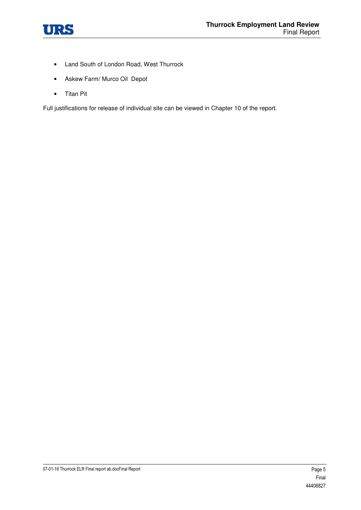

- Land South of London Road, West Thurrock
- Askew Farm/ Murco Oil Depot
- Titan Pit

Full justifications for release of individual site can be viewed in Chapter 10 of the report.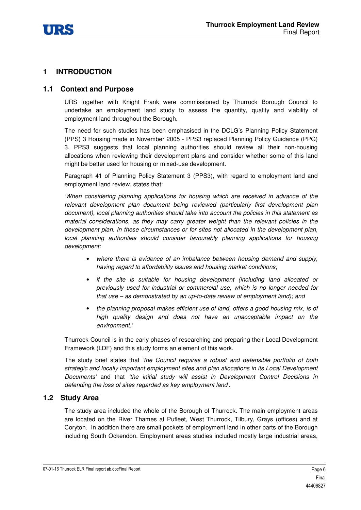

# **1 INTRODUCTION**

### **1.1 Context and Purpose**

URS together with Knight Frank were commissioned by Thurrock Borough Council to undertake an employment land study to assess the quantity, quality and viability of employment land throughout the Borough.

The need for such studies has been emphasised in the DCLG's Planning Policy Statement (PPS) 3 Housing made in November 2005 - PPS3 replaced Planning Policy Guidance (PPG) 3. PPS3 suggests that local planning authorities should review all their non-housing allocations when reviewing their development plans and consider whether some of this land might be better used for housing or mixed-use development.

Paragraph 41 of Planning Policy Statement 3 (PPS3), with regard to employment land and employment land review, states that:

'When considering planning applications for housing which are received in advance of the relevant development plan document being reviewed (particularly first development plan document), local planning authorities should take into account the policies in this statement as material considerations, as they may carry greater weight than the relevant policies in the development plan. In these circumstances or for sites not allocated in the development plan, local planning authorities should consider favourably planning applications for housing development:

- where there is evidence of an imbalance between housing demand and supply, having regard to affordability issues and housing market conditions;
- if the site is suitable for housing development (including land allocated or previously used for industrial or commercial use, which is no longer needed for that use – as demonstrated by an up-to-date review of employment land); and
- the planning proposal makes efficient use of land, offers a good housing mix, is of high quality design and does not have an unacceptable impact on the environment.'

Thurrock Council is in the early phases of researching and preparing their Local Development Framework (LDF) and this study forms an element of this work.

The study brief states that 'the Council requires a robust and defensible portfolio of both strategic and locally important employment sites and plan allocations in its Local Development Documents' and that 'the initial study will assist in Development Control Decisions in defending the loss of sites regarded as key employment land'.

#### **1.2 Study Area**

The study area included the whole of the Borough of Thurrock. The main employment areas are located on the River Thames at Pufleet, West Thurrock, Tilbury, Grays (offices) and at Coryton. In addition there are small pockets of employment land in other parts of the Borough including South Ockendon. Employment areas studies included mostly large industrial areas,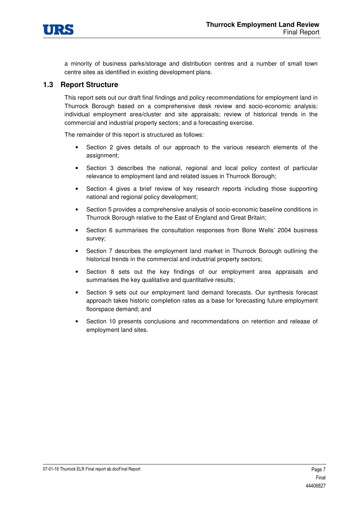

a minority of business parks/storage and distribution centres and a number of small town centre sites as identified in existing development plans.

### **1.3 Report Structure**

This report sets out our draft final findings and policy recommendations for employment land in Thurrock Borough based on a comprehensive desk review and socio-economic analysis; individual employment area/cluster and site appraisals; review of historical trends in the commercial and industrial property sectors; and a forecasting exercise.

The remainder of this report is structured as follows:

- Section 2 gives details of our approach to the various research elements of the assignment;
- Section 3 describes the national, regional and local policy context of particular relevance to employment land and related issues in Thurrock Borough;
- Section 4 gives a brief review of key research reports including those supporting national and regional policy development;
- Section 5 provides a comprehensive analysis of socio-economic baseline conditions in Thurrock Borough relative to the East of England and Great Britain;
- Section 6 summarises the consultation responses from Bone Wells' 2004 business survey;
- Section 7 describes the employment land market in Thurrock Borough outlining the historical trends in the commercial and industrial property sectors;
- Section 8 sets out the key findings of our employment area appraisals and summarises the key qualitative and quantitative results;
- Section 9 sets out our employment land demand forecasts. Our synthesis forecast approach takes historic completion rates as a base for forecasting future employment floorspace demand; and
- Section 10 presents conclusions and recommendations on retention and release of employment land sites.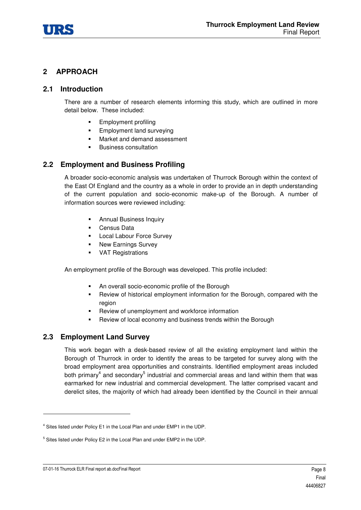

# **2 APPROACH**

### **2.1 Introduction**

There are a number of research elements informing this study, which are outlined in more detail below. These included:

- -Employment profiling
- -Employment land surveying
- -Market and demand assessment
- -Business consultation

# **2.2 Employment and Business Profiling**

A broader socio-economic analysis was undertaken of Thurrock Borough within the context of the East Of England and the country as a whole in order to provide an in depth understanding of the current population and socio-economic make-up of the Borough. A number of information sources were reviewed including:

- -Annual Business Inquiry
- Census Data
- **-** Local Labour Force Survey
- -New Earnings Survey
- VAT Registrations

An employment profile of the Borough was developed. This profile included:

- -An overall socio-economic profile of the Borough
- Review of historical employment information for the Borough, compared with the region
- -Review of unemployment and workforce information
- -Review of local economy and business trends within the Borough

# **2.3 Employment Land Survey**

This work began with a desk-based review of all the existing employment land within the Borough of Thurrock in order to identify the areas to be targeted for survey along with the broad employment area opportunities and constraints. Identified employment areas included both primary<sup>4</sup> and secondary<sup>5</sup> industrial and commercial areas and land within them that was earmarked for new industrial and commercial development. The latter comprised vacant and derelict sites, the majority of which had already been identified by the Council in their annual

1

<sup>&</sup>lt;sup>4</sup> Sites listed under Policy E1 in the Local Plan and under EMP1 in the UDP.

<sup>&</sup>lt;sup>5</sup> Sites listed under Policy E2 in the Local Plan and under EMP2 in the UDP.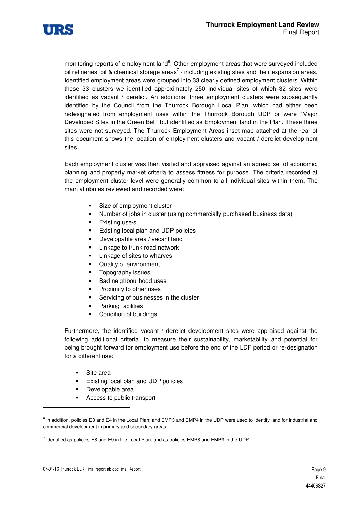

monitoring reports of employment land<sup>6</sup>. Other employment areas that were surveyed included oil refineries, oil & chemical storage areas<sup>7</sup> - including existing sties and their expansion areas. Identified employment areas were grouped into 33 clearly defined employment clusters. Within these 33 clusters we identified approximately 250 individual sites of which 32 sites were identified as vacant / derelict. An additional three employment clusters were subsequently identified by the Council from the Thurrock Borough Local Plan, which had either been redesignated from employment uses within the Thurrock Borough UDP or were "Major Developed Sites in the Green Belt" but identified as Employment land in the Plan. These three sites were not surveyed. The Thurrock Employment Areas inset map attached at the rear of this document shows the location of employment clusters and vacant / derelict development sites.

Each employment cluster was then visited and appraised against an agreed set of economic, planning and property market criteria to assess fitness for purpose. The criteria recorded at the employment cluster level were generally common to all individual sites within them. The main attributes reviewed and recorded were:

- -Size of employment cluster
- -Number of jobs in cluster (using commercially purchased business data)
- -Existing use/s
- -Existing local plan and UDP policies
- -Developable area / vacant land
- -Linkage to trunk road network
- -Linkage of sites to wharves
- -Quality of environment
- -Topography issues
- -Bad neighbourhood uses
- -Proximity to other uses
- -Servicing of businesses in the cluster
- -Parking facilities
- -Condition of buildings

Furthermore, the identified vacant / derelict development sites were appraised against the following additional criteria, to measure their sustainability, marketability and potential for being brought forward for employment use before the end of the LDF period or re-designation for a different use:

-Site area

-

- -Existing local plan and UDP policies
- -Developable area
- -Access to public transport

<sup>&</sup>lt;sup>6</sup> In addition, policies E3 and E4 in the Local Plan; and EMP3 and EMP4 in the UDP were used to identify land for industrial and commercial development in primary and secondary areas.

 $^7$  Identified as policies E8 and E9 in the Local Plan; and as policies EMP8 and EMP9 in the UDP.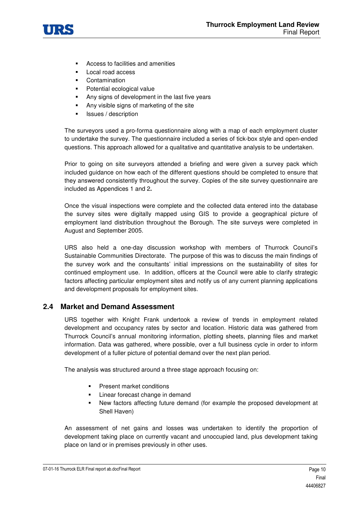

- -Access to facilities and amenities
- -Local road access
- -**Contamination**
- -Potential ecological value
- -Any signs of development in the last five years
- -Any visible signs of marketing of the site
- -Issues / description

The surveyors used a pro-forma questionnaire along with a map of each employment cluster to undertake the survey. The questionnaire included a series of tick-box style and open-ended questions. This approach allowed for a qualitative and quantitative analysis to be undertaken.

Prior to going on site surveyors attended a briefing and were given a survey pack which included guidance on how each of the different questions should be completed to ensure that they answered consistently throughout the survey. Copies of the site survey questionnaire are included as Appendices 1 and 2**.**

Once the visual inspections were complete and the collected data entered into the database the survey sites were digitally mapped using GIS to provide a geographical picture of employment land distribution throughout the Borough. The site surveys were completed in August and September 2005.

URS also held a one-day discussion workshop with members of Thurrock Council's Sustainable Communities Directorate. The purpose of this was to discuss the main findings of the survey work and the consultants' initial impressions on the sustainability of sites for continued employment use. In addition, officers at the Council were able to clarify strategic factors affecting particular employment sites and notify us of any current planning applications and development proposals for employment sites.

# **2.4 Market and Demand Assessment**

URS together with Knight Frank undertook a review of trends in employment related development and occupancy rates by sector and location. Historic data was gathered from Thurrock Council's annual monitoring information, plotting sheets, planning files and market information. Data was gathered, where possible, over a full business cycle in order to inform development of a fuller picture of potential demand over the next plan period.

The analysis was structured around a three stage approach focusing on:

- Present market conditions
- -Linear forecast change in demand
- - New factors affecting future demand (for example the proposed development at Shell Haven)

An assessment of net gains and losses was undertaken to identify the proportion of development taking place on currently vacant and unoccupied land, plus development taking place on land or in premises previously in other uses.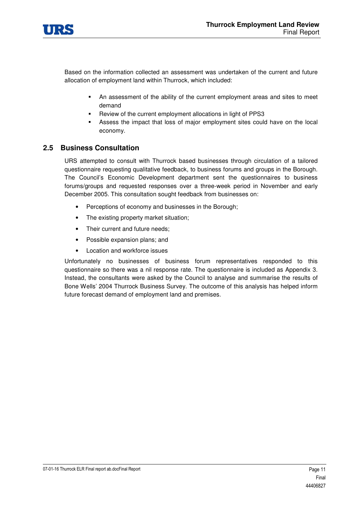

Based on the information collected an assessment was undertaken of the current and future allocation of employment land within Thurrock, which included:

- An assessment of the ability of the current employment areas and sites to meet demand
- -Review of the current employment allocations in light of PPS3
- - Assess the impact that loss of major employment sites could have on the local economy.

# **2.5 Business Consultation**

URS attempted to consult with Thurrock based businesses through circulation of a tailored questionnaire requesting qualitative feedback, to business forums and groups in the Borough. The Council's Economic Development department sent the questionnaires to business forums/groups and requested responses over a three-week period in November and early December 2005. This consultation sought feedback from businesses on:

- Perceptions of economy and businesses in the Borough;
- The existing property market situation;
- Their current and future needs;
- Possible expansion plans; and
- Location and workforce issues

Unfortunately no businesses of business forum representatives responded to this questionnaire so there was a nil response rate. The questionnaire is included as Appendix 3. Instead, the consultants were asked by the Council to analyse and summarise the results of Bone Wells' 2004 Thurrock Business Survey. The outcome of this analysis has helped inform future forecast demand of employment land and premises.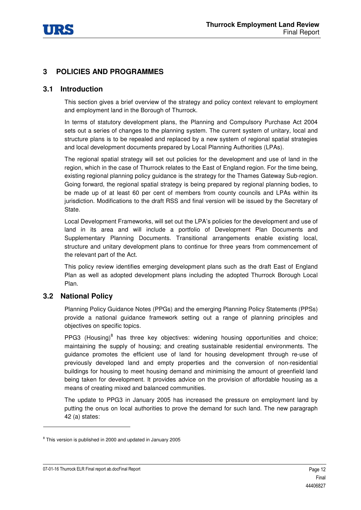

# **3 POLICIES AND PROGRAMMES**

# **3.1 Introduction**

This section gives a brief overview of the strategy and policy context relevant to employment and employment land in the Borough of Thurrock.

In terms of statutory development plans, the Planning and Compulsory Purchase Act 2004 sets out a series of changes to the planning system. The current system of unitary, local and structure plans is to be repealed and replaced by a new system of regional spatial strategies and local development documents prepared by Local Planning Authorities (LPAs).

The regional spatial strategy will set out policies for the development and use of land in the region, which in the case of Thurrock relates to the East of England region. For the time being, existing regional planning policy guidance is the strategy for the Thames Gateway Sub-region. Going forward, the regional spatial strategy is being prepared by regional planning bodies, to be made up of at least 60 per cent of members from county councils and LPAs within its jurisdiction. Modifications to the draft RSS and final version will be issued by the Secretary of State.

Local Development Frameworks, will set out the LPA's policies for the development and use of land in its area and will include a portfolio of Development Plan Documents and Supplementary Planning Documents. Transitional arrangements enable existing local, structure and unitary development plans to continue for three years from commencement of the relevant part of the Act.

This policy review identifies emerging development plans such as the draft East of England Plan as well as adopted development plans including the adopted Thurrock Borough Local Plan.

# **3.2 National Policy**

Planning Policy Guidance Notes (PPGs) and the emerging Planning Policy Statements (PPSs) provide a national guidance framework setting out a range of planning principles and objectives on specific topics.

PPG3 (Housing) $8$  has three key objectives: widening housing opportunities and choice; maintaining the supply of housing; and creating sustainable residential environments. The guidance promotes the efficient use of land for housing development through re-use of previously developed land and empty properties and the conversion of non-residential buildings for housing to meet housing demand and minimising the amount of greenfield land being taken for development. It provides advice on the provision of affordable housing as a means of creating mixed and balanced communities.

The update to PPG3 in January 2005 has increased the pressure on employment land by putting the onus on local authorities to prove the demand for such land. The new paragraph 42 (a) states:

1

<sup>&</sup>lt;sup>8</sup> This version is published in 2000 and updated in January 2005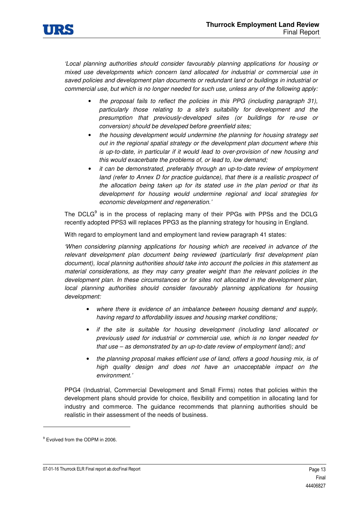

'Local planning authorities should consider favourably planning applications for housing or mixed use developments which concern land allocated for industrial or commercial use in saved policies and development plan documents or redundant land or buildings in industrial or commercial use, but which is no longer needed for such use, unless any of the following apply:

- the proposal fails to reflect the policies in this PPG (including paragraph 31), particularly those relating to a site's suitability for development and the presumption that previously-developed sites (or buildings for re-use or conversion) should be developed before greenfield sites;
- the housing development would undermine the planning for housing strategy set out in the regional spatial strategy or the development plan document where this is up-to-date, in particular if it would lead to over-provision of new housing and this would exacerbate the problems of, or lead to, low demand;
- it can be demonstrated, preferably through an up-to-date review of employment land (refer to Annex D for practice guidance), that there is a realistic prospect of the allocation being taken up for its stated use in the plan period or that its development for housing would undermine regional and local strategies for economic development and regeneration.'

The DCLG $<sup>9</sup>$  is in the process of replacing many of their PPGs with PPSs and the DCLG</sup> recently adopted PPS3 will replaces PPG3 as the planning strategy for housing in England.

With regard to employment land and employment land review paragraph 41 states:

'When considering planning applications for housing which are received in advance of the relevant development plan document being reviewed (particularly first development plan document), local planning authorities should take into account the policies in this statement as material considerations, as they may carry greater weight than the relevant policies in the development plan. In these circumstances or for sites not allocated in the development plan, local planning authorities should consider favourably planning applications for housing development:

- where there is evidence of an imbalance between housing demand and supply, having regard to affordability issues and housing market conditions;
- if the site is suitable for housing development (including land allocated or previously used for industrial or commercial use, which is no longer needed for that use – as demonstrated by an up-to-date review of employment land); and
- the planning proposal makes efficient use of land, offers a good housing mix, is of high quality design and does not have an unacceptable impact on the environment.'

PPG4 (Industrial, Commercial Development and Small Firms) notes that policies within the development plans should provide for choice, flexibility and competition in allocating land for industry and commerce. The guidance recommends that planning authorities should be realistic in their assessment of the needs of business.

1

<sup>&</sup>lt;sup>9</sup> Evolved from the ODPM in 2006.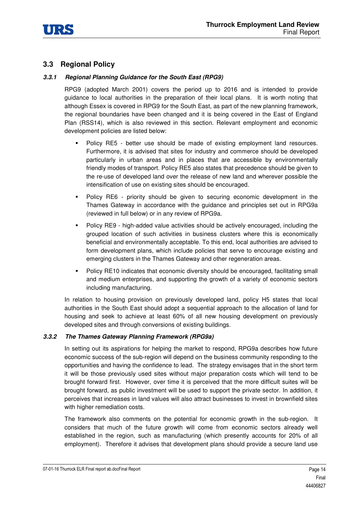

# **3.3 Regional Policy**

### *3.3.1 Regional Planning Guidance for the South East (RPG9)*

RPG9 (adopted March 2001) covers the period up to 2016 and is intended to provide guidance to local authorities in the preparation of their local plans. It is worth noting that although Essex is covered in RPG9 for the South East, as part of the new planning framework, the regional boundaries have been changed and it is being covered in the East of England Plan (RSS14), which is also reviewed in this section. Relevant employment and economic development policies are listed below:

- - Policy RE5 - better use should be made of existing employment land resources. Furthermore, it is advised that sites for industry and commerce should be developed particularly in urban areas and in places that are accessible by environmentally friendly modes of transport. Policy RE5 also states that precedence should be given to the re-use of developed land over the release of new land and wherever possible the intensification of use on existing sites should be encouraged.
- - Policy RE6 - priority should be given to securing economic development in the Thames Gateway in accordance with the guidance and principles set out in RPG9a (reviewed in full below) or in any review of RPG9a.
- - Policy RE9 - high-added value activities should be actively encouraged, including the grouped location of such activities in business clusters where this is economically beneficial and environmentally acceptable. To this end, local authorities are advised to form development plans, which include policies that serve to encourage existing and emerging clusters in the Thames Gateway and other regeneration areas.
- -Policy RE10 indicates that economic diversity should be encouraged, facilitating small and medium enterprises, and supporting the growth of a variety of economic sectors including manufacturing.

In relation to housing provision on previously developed land, policy H5 states that local authorities in the South East should adopt a sequential approach to the allocation of land for housing and seek to achieve at least 60% of all new housing development on previously developed sites and through conversions of existing buildings.

#### *3.3.2 The Thames Gateway Planning Framework (RPG9a)*

In setting out its aspirations for helping the market to respond, RPG9a describes how future economic success of the sub-region will depend on the business community responding to the opportunities and having the confidence to lead. The strategy envisages that in the short term it will be those previously used sites without major preparation costs which will tend to be brought forward first. However, over time it is perceived that the more difficult suites will be brought forward, as public investment will be used to support the private sector. In addition, it perceives that increases in land values will also attract businesses to invest in brownfield sites with higher remediation costs.

The framework also comments on the potential for economic growth in the sub-region. It considers that much of the future growth will come from economic sectors already well established in the region, such as manufacturing (which presently accounts for 20% of all employment). Therefore it advises that development plans should provide a secure land use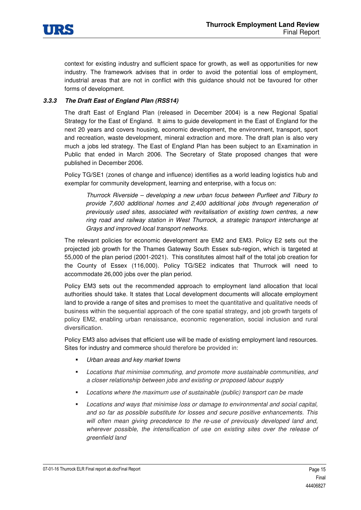

context for existing industry and sufficient space for growth, as well as opportunities for new industry. The framework advises that in order to avoid the potential loss of employment, industrial areas that are not in conflict with this guidance should not be favoured for other forms of development.

#### *3.3.3 The Draft East of England Plan (RSS14)*

The draft East of England Plan (released in December 2004) is a new Regional Spatial Strategy for the East of England. It aims to guide development in the East of England for the next 20 years and covers housing, economic development, the environment, transport, sport and recreation, waste development, mineral extraction and more. The draft plan is also very much a jobs led strategy. The East of England Plan has been subject to an Examination in Public that ended in March 2006. The Secretary of State proposed changes that were published in December 2006.

Policy TG/SE1 (zones of change and influence) identifies as a world leading logistics hub and exemplar for community development, learning and enterprise, with a focus on:

Thurrock Riverside – developing a new urban focus between Purfleet and Tilbury to provide 7,600 additional homes and 2,400 additional jobs through regeneration of previously used sites, associated with revitalisation of existing town centres, a new ring road and railway station in West Thurrock, a strategic transport interchange at Grays and improved local transport networks.

The relevant policies for economic development are EM2 and EM3. Policy E2 sets out the projected job growth for the Thames Gateway South Essex sub-region, which is targeted at 55,000 of the plan period (2001-2021). This constitutes almost half of the total job creation for the County of Essex (116,000). Policy TG/SE2 indicates that Thurrock will need to accommodate 26,000 jobs over the plan period.

Policy EM3 sets out the recommended approach to employment land allocation that local authorities should take. It states that Local development documents will allocate employment land to provide a range of sites and premises to meet the quantitative and qualitative needs of business within the sequential approach of the core spatial strategy, and job growth targets of policy EM2, enabling urban renaissance, economic regeneration, social inclusion and rural diversification.

Policy EM3 also advises that efficient use will be made of existing employment land resources. Sites for industry and commerce should therefore be provided in:

- -Urban areas and key market towns
- - Locations that minimise commuting, and promote more sustainable communities, and a closer relationship between jobs and existing or proposed labour supply
- -Locations where the maximum use of sustainable (public) transport can be made
- - Locations and ways that minimise loss or damage to environmental and social capital, and so far as possible substitute for losses and secure positive enhancements. This will often mean giving precedence to the re-use of previously developed land and, wherever possible, the intensification of use on existing sites over the release of greenfield land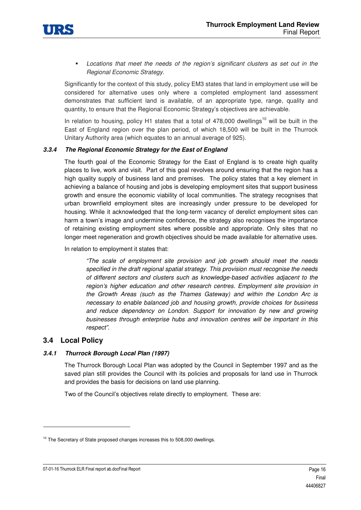

- Locations that meet the needs of the region's significant clusters as set out in the Regional Economic Strategy.

Significantly for the context of this study, policy EM3 states that land in employment use will be considered for alternative uses only where a completed employment land assessment demonstrates that sufficient land is available, of an appropriate type, range, quality and quantity, to ensure that the Regional Economic Strategy's objectives are achievable.

In relation to housing, policy H1 states that a total of  $478,000$  dwellings<sup>10</sup> will be built in the East of England region over the plan period, of which 18,500 will be built in the Thurrock Unitary Authority area (which equates to an annual average of 925).

#### *3.3.4 The Regional Economic Strategy for the East of England*

The fourth goal of the Economic Strategy for the East of England is to create high quality places to live, work and visit. Part of this goal revolves around ensuring that the region has a high quality supply of business land and premises. The policy states that a key element in achieving a balance of housing and jobs is developing employment sites that support business growth and ensure the economic viability of local communities. The strategy recognises that urban brownfield employment sites are increasingly under pressure to be developed for housing. While it acknowledged that the long-term vacancy of derelict employment sites can harm a town's image and undermine confidence, the strategy also recognises the importance of retaining existing employment sites where possible and appropriate. Only sites that no longer meet regeneration and growth objectives should be made available for alternative uses.

In relation to employment it states that:

"The scale of employment site provision and job growth should meet the needs specified in the draft regional spatial strategy. This provision must recognise the needs of different sectors and clusters such as knowledge-based activities adjacent to the region's higher education and other research centres. Employment site provision in the Growth Areas (such as the Thames Gateway) and within the London Arc is necessary to enable balanced job and housing growth, provide choices for business and reduce dependency on London. Support for innovation by new and growing businesses through enterprise hubs and innovation centres will be important in this respect".

#### **3.4 Local Policy**

1

#### *3.4.1 Thurrock Borough Local Plan (1997)*

The Thurrock Borough Local Plan was adopted by the Council in September 1997 and as the saved plan still provides the Council with its policies and proposals for land use in Thurrock and provides the basis for decisions on land use planning.

Two of the Council's objectives relate directly to employment. These are:

<sup>&</sup>lt;sup>10</sup> The Secretary of State proposed changes increases this to 508,000 dwellings.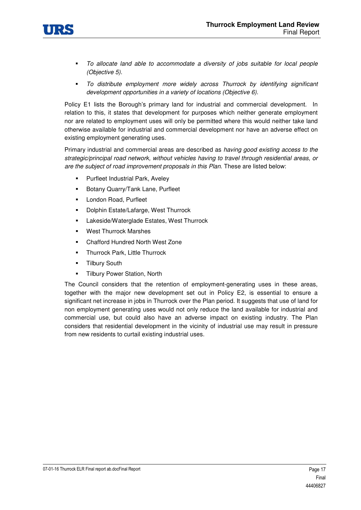

- - To allocate land able to accommodate a diversity of jobs suitable for local people (Objective 5).
- - To distribute employment more widely across Thurrock by identifying significant development opportunities in a variety of locations (Objective 6).

Policy E1 lists the Borough's primary land for industrial and commercial development. In relation to this, it states that development for purposes which neither generate employment nor are related to employment uses will only be permitted where this would neither take land otherwise available for industrial and commercial development nor have an adverse effect on existing employment generating uses.

Primary industrial and commercial areas are described as having good existing access to the strategic/principal road network, without vehicles having to travel through residential areas, or are the subject of road improvement proposals in this Plan. These are listed below:

- -Purfleet Industrial Park, Aveley
- -Botany Quarry/Tank Lane, Purfleet
- -London Road, Purfleet
- -Dolphin Estate/Lafarge, West Thurrock
- -Lakeside/Waterglade Estates, West Thurrock
- -West Thurrock Marshes
- -Chafford Hundred North West Zone
- -Thurrock Park, Little Thurrock
- -Tilbury South
- -Tilbury Power Station, North

The Council considers that the retention of employment-generating uses in these areas, together with the major new development set out in Policy E2, is essential to ensure a significant net increase in jobs in Thurrock over the Plan period. It suggests that use of land for non employment generating uses would not only reduce the land available for industrial and commercial use, but could also have an adverse impact on existing industry. The Plan considers that residential development in the vicinity of industrial use may result in pressure from new residents to curtail existing industrial uses.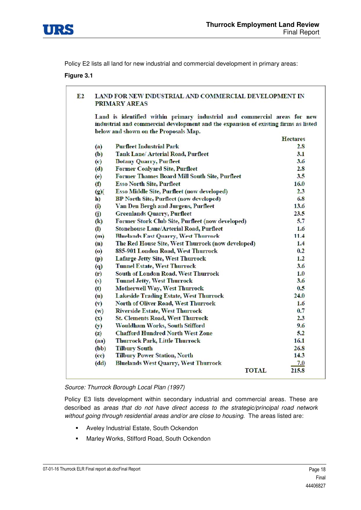

Policy E2 lists all land for new industrial and commercial development in primary areas:

#### **Figure 3.1**

#### $E2$ LAND FOR NEW INDUSTRIAL AND COMMERCIAL DEVELOPMENT IN **PRIMARY AREAS**

Land is identified within primary industrial and commercial areas for new industrial and commercial development and the expansion of existing firms as listed below and shown on the Proposals Map.

|                    |                                                   | <b>Hectares</b> |
|--------------------|---------------------------------------------------|-----------------|
| (a)                | <b>Purfleet Industrial Park</b>                   | 2.8             |
| (b)                | Tank Lane/ Arterial Road, Purfleet                | 3.1             |
| (c)                | <b>Botany Quarry, Purfleet</b>                    | 3.6             |
| (d)                | <b>Former Coalyard Site, Purfleet</b>             | 2.8             |
| (e)                | Former Thames Board Mill South Site, Purfleet     | 3.5             |
| (f)                | <b>Esso North Site, Purfleet</b>                  | 16.0            |
| (2)                | Esso Middle Site, Purfleet (now developed)        | 2.3             |
| h)                 | <b>BP North Site, Purfleet (now developed)</b>    | 6.8             |
| $\left( i\right)$  | Van Den Bergh and Jurgens, Purfleet               | 13.6            |
| $\bf(j)$           | <b>Greenlands Quarry, Purfleet</b>                | 23.5            |
| (k)                | Former Stork Club Site, Purfleet (now developed)  | 5.7             |
| $\left( 0 \right)$ | <b>Stonehouse Lane/Arterial Road, Purfleet</b>    | 1.6             |
| (m)                | <b>Bluelands East Quarry, West Thurrock</b>       | 11.4            |
| (n)                | The Red House Site, West Thurrock (now developed) | 1.4             |
| $\circ$            | 885-901 London Road, West Thurrock                | 0.2             |
| (p)                | Lafarge Jetty Site, West Thurrock                 | 1.2             |
| $\boldsymbol{q}$   | <b>Tunnel Estate, West Thurrock</b>               | 3.6             |
| (r)                | South of London Road, West Thurrock               | 1.0             |
| (s)                | <b>Tunnel Jetty, West Thurrock</b>                | 3.6             |
| (t)                | <b>Motherwell Way, West Thurrock</b>              | 0.5             |
| (u)                | <b>Lakeside Trading Estate, West Thurrock</b>     | 24.0            |
| $(\mathbf{v})$     | North of Oliver Road, West Thurrock               | 1.6             |
| (w)                | <b>Riverside Estate, West Thurrock</b>            | 0.7             |
| $(\mathbf{x})$     | <b>St. Clements Road, West Thurrock</b>           | 2.3             |
| (y)                | Wouldham Works, South Stifford                    | 9.6             |
| (z)                | <b>Chafford Hundred North West Zone</b>           | 5.2             |
| (aa)               | <b>Thurrock Park, Little Thurrock</b>             | 16.1            |
| (bb)               | <b>Tilbury South</b>                              | 26.8            |
| (cc)               | <b>Tilbury Power Station, North</b>               | 14.3            |
| (dd)               | <b>Bluelands West Quarry, West Thurrock</b>       | 7.0             |
|                    | TOTAL                                             | 215.8           |

#### Source: Thurrock Borough Local Plan (1997)

Policy E3 lists development within secondary industrial and commercial areas. These are described as areas that do not have direct access to the strategic/principal road network without going through residential areas and/or are close to housing. The areas listed are:

- -Aveley Industrial Estate, South Ockendon
- -Marley Works, Stifford Road, South Ockendon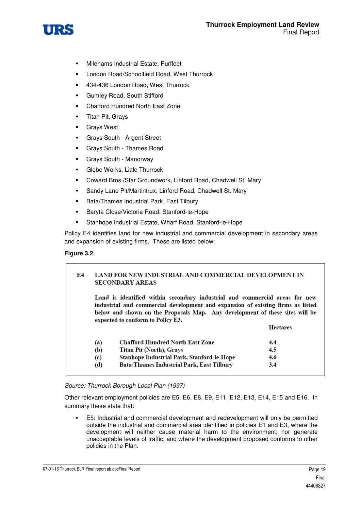

- -Milehams Industrial Estate, Purfleet
- -London Road/Schoolfield Road, West Thurrock
- -434-436 London Road, West Thurrock
- -Gumley Road, South Stifford
- -Chafford Hundred North East Zone
- -Titan Pit, Grays
- -Grays West
- -Grays South - Argent Street
- -Grays South - Thames Road
- -Grays South - Manorway
- -Globe Works, Little Thurrock
- -Coward Bros./Star Groundwork, Linford Road, Chadwell St. Mary
- -Sandy Lane Pit/Martintrux, Linford Road, Chadwell St. Mary
- -Bata/Thames Industrial Park, East Tilbury
- -Baryta Close/Victoria Road, Stanford-le-Hope
- -Stanhope Industrial Estate, Wharf Road, Stanford-le-Hope

Policy E4 identifies land for new industrial and commercial development in secondary areas and expansion of existing firms. These are listed below:

#### **Figure 3.2**

| Е4 |     | LAND FOR NEW INDUSTRIAL AND COMMERCIAL DEVELOPMENT IN<br><b>SECONDARY AREAS</b>                                                                                                                                                                                                     |                 |
|----|-----|-------------------------------------------------------------------------------------------------------------------------------------------------------------------------------------------------------------------------------------------------------------------------------------|-----------------|
|    |     | Land is identified within secondary industrial and commercial areas for new<br>industrial and commercial development and expansion of existing firms as listed<br>below and shown on the Proposals Map. Any development of these sites will be<br>expected to conform to Policy E3. |                 |
|    |     |                                                                                                                                                                                                                                                                                     | <b>Hectares</b> |
|    | (a) | <b>Chafford Hundred North East Zone</b>                                                                                                                                                                                                                                             | 4.4             |
|    | (b) | <b>Titan Pit (North), Grays</b>                                                                                                                                                                                                                                                     | 4.5             |
|    |     | Stanhope Industrial Park, Stanford-le-Hope                                                                                                                                                                                                                                          | 4.6             |
|    | (c) |                                                                                                                                                                                                                                                                                     |                 |

#### Source: Thurrock Borough Local Plan (1997)

Other relevant employment policies are E5, E6, E8, E9, E11, E12, E13, E14, E15 and E16. In summary these state that:

- E5: Industrial and commercial development and redevelopment will only be permitted outside the industrial and commercial area identified in policies E1 and E3, where the development will neither cause material harm to the environment, nor generate unacceptable levels of traffic, and where the development proposed conforms to other policies in the Plan.

07-01-16 Thurrock ELR Final report ab.docFinal Report **Page 19** All the state of the state of the state of the state of the state of the state of the state of the state of the state of the state of the state of the state o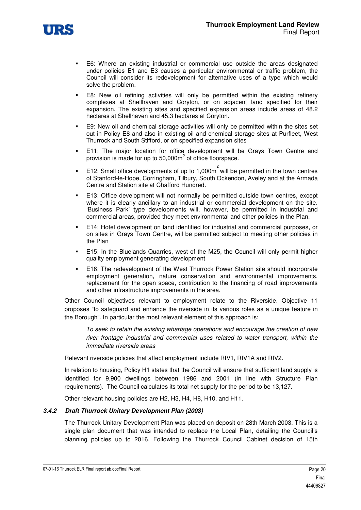

- - E6: Where an existing industrial or commercial use outside the areas designated under policies E1 and E3 causes a particular environmental or traffic problem, the Council will consider its redevelopment for alternative uses of a type which would solve the problem.
- - E8: New oil refining activities will only be permitted within the existing refinery complexes at Shellhaven and Coryton, or on adjacent land specified for their expansion. The existing sites and specified expansion areas include areas of 48.2 hectares at Shellhaven and 45.3 hectares at Coryton.
- - E9: New oil and chemical storage activities will only be permitted within the sites set out in Policy E8 and also in existing oil and chemical storage sites at Purfleet, West Thurrock and South Stifford, or on specified expansion sites
- - E11: The major location for office development will be Grays Town Centre and provision is made for up to 50,000 $m^2$  of office floorspace.
- -E12: Small office developments of up to 1,000 $m^2$  will be permitted in the town centres of Stanford-le-Hope, Corringham, Tilbury, South Ockendon, Aveley and at the Armada Centre and Station site at Chafford Hundred.
- - E13: Office development will not normally be permitted outside town centres, except where it is clearly ancillary to an industrial or commercial development on the site. 'Business Park' type developments will, however, be permitted in industrial and commercial areas, provided they meet environmental and other policies in the Plan.
- - E14: Hotel development on land identified for industrial and commercial purposes, or on sites in Grays Town Centre, will be permitted subject to meeting other policies in the Plan
- - E15: In the Bluelands Quarries, west of the M25, the Council will only permit higher quality employment generating development
- - E16: The redevelopment of the West Thurrock Power Station site should incorporate employment generation, nature conservation and environmental improvements, replacement for the open space, contribution to the financing of road improvements and other infrastructure improvements in the area.

Other Council objectives relevant to employment relate to the Riverside. Objective 11 proposes "to safeguard and enhance the riverside in its various roles as a unique feature in the Borough". In particular the most relevant element of this approach is:

To seek to retain the existing wharfage operations and encourage the creation of new river frontage industrial and commercial uses related to water transport, within the immediate riverside areas

Relevant riverside policies that affect employment include RIV1, RIV1A and RIV2.

In relation to housing, Policy H1 states that the Council will ensure that sufficient land supply is identified for 9,900 dwellings between 1986 and 2001 (in line with Structure Plan requirements). The Council calculates its total net supply for the period to be 13,127.

Other relevant housing policies are H2, H3, H4, H8, H10, and H11.

#### *3.4.2 Draft Thurrock Unitary Development Plan (2003)*

The Thurrock Unitary Development Plan was placed on deposit on 28th March 2003. This is a single plan document that was intended to replace the Local Plan, detailing the Council's planning policies up to 2016. Following the Thurrock Council Cabinet decision of 15th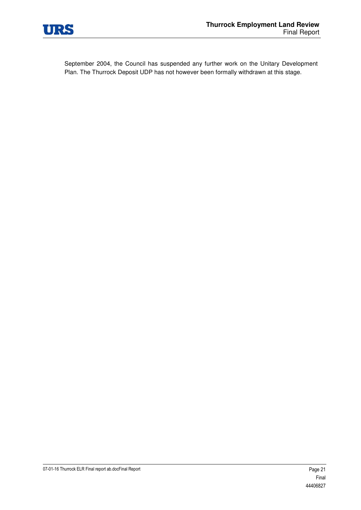

September 2004, the Council has suspended any further work on the Unitary Development Plan. The Thurrock Deposit UDP has not however been formally withdrawn at this stage.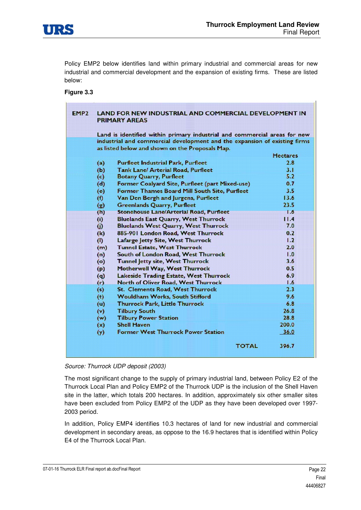

Policy EMP2 below identifies land within primary industrial and commercial areas for new industrial and commercial development and the expansion of existing firms. These are listed below:

#### **Figure 3.3**

| EMP <sub>2</sub> | <b>LAND FOR NEW INDUSTRIAL AND COMMERCIAL DEVELOPMENT IN</b><br><b>PRIMARY AREAS</b> |                                                                           |                 |  |  |  |
|------------------|--------------------------------------------------------------------------------------|---------------------------------------------------------------------------|-----------------|--|--|--|
|                  |                                                                                      | Land is identified within primary industrial and commercial areas for new |                 |  |  |  |
|                  |                                                                                      | industrial and commercial development and the expansion of existing firms |                 |  |  |  |
|                  | as listed below and shown on the Proposals Map.                                      |                                                                           |                 |  |  |  |
|                  |                                                                                      |                                                                           | <b>Hectares</b> |  |  |  |
|                  | (a)                                                                                  | <b>Purfleet Industrial Park, Purfleet</b>                                 | 2.8             |  |  |  |
|                  | (b)                                                                                  | Tank Lane/ Arterial Road, Purfleet                                        | 3.1             |  |  |  |
|                  | (c)                                                                                  | <b>Botany Quarry, Purfleet</b>                                            | 5.2             |  |  |  |
|                  | (d)                                                                                  | Former Coalyard Site, Purfleet (part Mixed-use)                           | 0.7             |  |  |  |
|                  | (e)                                                                                  | Former Thames Board Mill South Site, Purfleet                             | 3.5             |  |  |  |
|                  | (1)                                                                                  | Van Den Bergh and Jurgens, Purfleet                                       | 13.6            |  |  |  |
|                  | (g)                                                                                  | Greenlands Quarry, Purfleet                                               | 23.5            |  |  |  |
|                  | (h)                                                                                  | Stonehouse Lane/Arterial Road, Purfleet                                   | 1.6             |  |  |  |
|                  | (i)                                                                                  | <b>Bluelands East Quarry, West Thurrock</b>                               | 11.4            |  |  |  |
|                  | (i)                                                                                  | <b>Bluelands West Quarry, West Thurrock</b>                               | 7.0             |  |  |  |
|                  | (k)                                                                                  | 885-901 London Road, West Thurrock                                        | 0.2             |  |  |  |
|                  | (1)                                                                                  | Lafarge Jetty Site, West Thurrock                                         | 1.2             |  |  |  |
|                  | (m)                                                                                  | <b>Tunnel Estate, West Thurrock</b>                                       | 2.0             |  |  |  |
|                  | (n)                                                                                  | South of London Road, West Thurrock                                       | 1.0             |  |  |  |
|                  | (o)                                                                                  | Tunnel Jetty site, West Thurrock                                          | 3.6             |  |  |  |
|                  | (p)                                                                                  | Motherwell Way, West Thurrock                                             | 0.5             |  |  |  |
|                  | (q)                                                                                  | Lakeside Trading Estate, West Thurrock                                    | 6.9             |  |  |  |
|                  | (r)                                                                                  | North of Oliver Road, West Thurrock                                       | 1.6             |  |  |  |
|                  | (s)                                                                                  | St. Clements Road, West Thurrock                                          | 2.3             |  |  |  |
|                  | (t)                                                                                  | Wouldham Works, South Stifford                                            | 9.6             |  |  |  |
|                  | (u)                                                                                  | Thurrock Park, Little Thurrock                                            | 6.8             |  |  |  |
|                  | (v)                                                                                  | <b>Tilbury South</b>                                                      | 26.8            |  |  |  |
|                  | (w)                                                                                  | <b>Tilbury Power Station</b>                                              | 28.8            |  |  |  |
|                  | (x)                                                                                  | <b>Shell Haven</b>                                                        | 200.0           |  |  |  |
|                  | (y)                                                                                  | <b>Former West Thurrock Power Station</b>                                 | 36.0            |  |  |  |
|                  |                                                                                      |                                                                           |                 |  |  |  |
|                  |                                                                                      | <b>TOTAL</b>                                                              | 396.7           |  |  |  |

Source: Thurrock UDP deposit (2003)

The most significant change to the supply of primary industrial land, between Policy E2 of the Thurrock Local Plan and Policy EMP2 of the Thurrock UDP is the inclusion of the Shell Haven site in the latter, which totals 200 hectares. In addition, approximately six other smaller sites have been excluded from Policy EMP2 of the UDP as they have been developed over 1997- 2003 period.

In addition, Policy EMP4 identifies 10.3 hectares of land for new industrial and commercial development in secondary areas, as oppose to the 16.9 hectares that is identified within Policy E4 of the Thurrock Local Plan.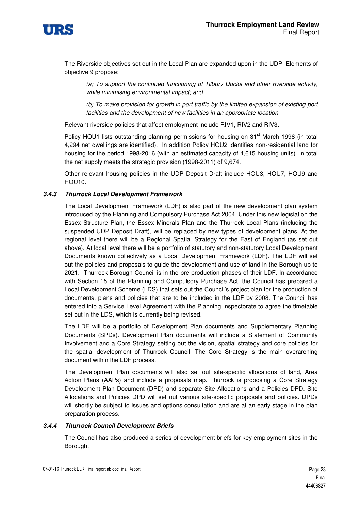

The Riverside objectives set out in the Local Plan are expanded upon in the UDP. Elements of objective 9 propose:

(a) To support the continued functioning of Tilbury Docks and other riverside activity, while minimising environmental impact; and

(b) To make provision for growth in port traffic by the limited expansion of existing port facilities and the development of new facilities in an appropriate location

Relevant riverside policies that affect employment include RIV1, RIV2 and RIV3.

Policy HOU1 lists outstanding planning permissions for housing on 31<sup>st</sup> March 1998 (in total 4,294 net dwellings are identified). In addition Policy HOU2 identifies non-residential land for housing for the period 1998-2016 (with an estimated capacity of 4,615 housing units). In total the net supply meets the strategic provision (1998-2011) of 9,674.

Other relevant housing policies in the UDP Deposit Draft include HOU3, HOU7, HOU9 and HOU10.

#### *3.4.3 Thurrock Local Development Framework*

The Local Development Framework (LDF) is also part of the new development plan system introduced by the Planning and Compulsory Purchase Act 2004. Under this new legislation the Essex Structure Plan, the Essex Minerals Plan and the Thurrock Local Plans (including the suspended UDP Deposit Draft), will be replaced by new types of development plans. At the regional level there will be a Regional Spatial Strategy for the East of England (as set out above). At local level there will be a portfolio of statutory and non-statutory Local Development Documents known collectively as a Local Development Framework (LDF). The LDF will set out the policies and proposals to guide the development and use of land in the Borough up to 2021. Thurrock Borough Council is in the pre-production phases of their LDF. In accordance with Section 15 of the Planning and Compulsory Purchase Act, the Council has prepared a Local Development Scheme (LDS) that sets out the Council's project plan for the production of documents, plans and policies that are to be included in the LDF by 2008. The Council has entered into a Service Level Agreement with the Planning Inspectorate to agree the timetable set out in the LDS, which is currently being revised.

The LDF will be a portfolio of Development Plan documents and Supplementary Planning Documents (SPDs). Development Plan documents will include a Statement of Community Involvement and a Core Strategy setting out the vision, spatial strategy and core policies for the spatial development of Thurrock Council. The Core Strategy is the main overarching document within the LDF process.

The Development Plan documents will also set out site-specific allocations of land, Area Action Plans (AAPs) and include a proposals map. Thurrock is proposing a Core Strategy Development Plan Document (DPD) and separate Site Allocations and a Policies DPD. Site Allocations and Policies DPD will set out various site-specific proposals and policies. DPDs will shortly be subject to issues and options consultation and are at an early stage in the plan preparation process.

#### *3.4.4 Thurrock Council Development Briefs*

The Council has also produced a series of development briefs for key employment sites in the Borough.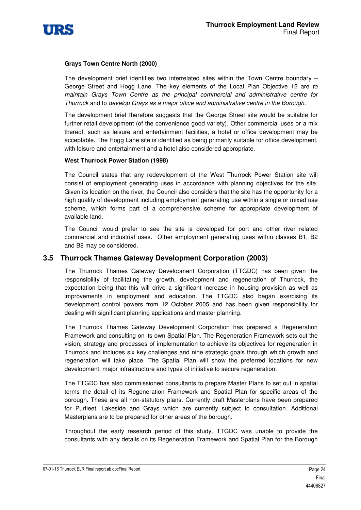

#### **Grays Town Centre North (2000)**

The development brief identifies two interrelated sites within the Town Centre boundary – George Street and Hogg Lane. The key elements of the Local Plan Objective 12 are to maintain Grays Town Centre as the principal commercial and administrative centre for Thurrock and to develop Grays as a major office and administrative centre in the Borough.

The development brief therefore suggests that the George Street site would be suitable for further retail development (of the convenience good variety). Other commercial uses or a mix thereof, such as leisure and entertainment facilities, a hotel or office development may be acceptable. The Hogg Lane site is identified as being primarily suitable for office development, with leisure and entertainment and a hotel also considered appropriate.

#### **West Thurrock Power Station (1998)**

The Council states that any redevelopment of the West Thurrock Power Station site will consist of employment generating uses in accordance with planning objectives for the site. Given its location on the river, the Council also considers that the site has the opportunity for a high quality of development including employment generating use within a single or mixed use scheme, which forms part of a comprehensive scheme for appropriate development of available land.

The Council would prefer to see the site is developed for port and other river related commercial and industrial uses. Other employment generating uses within classes B1, B2 and B8 may be considered.

# **3.5 Thurrock Thames Gateway Development Corporation (2003)**

The Thurrock Thames Gateway Development Corporation (TTGDC) has been given the responsibility of facilitating the growth, development and regeneration of Thurrock, the expectation being that this will drive a significant increase in housing provision as well as improvements in employment and education. The TTGDC also began exercising its development control powers from 12 October 2005 and has been given responsibility for dealing with significant planning applications and master planning.

The Thurrock Thames Gateway Development Corporation has prepared a Regeneration Framework and consulting on its own Spatial Plan. The Regeneration Framework sets out the vision, strategy and processes of implementation to achieve its objectives for regeneration in Thurrock and includes six key challenges and nine strategic goals through which growth and regeneration will take place. The Spatial Plan will show the preferred locations for new development, major infrastructure and types of initiative to secure regeneration.

The TTGDC has also commissioned consultants to prepare Master Plans to set out in spatial terms the detail of its Regeneration Framework and Spatial Plan for specific areas of the borough. These are all non-statutory plans. Currently draft Masterplans have been prepared for Purfleet, Lakeside and Grays which are currently subject to consultation. Additional Masterplans are to be prepared for other areas of the borough.

Throughout the early research period of this study, TTGDC was unable to provide the consultants with any details on its Regeneration Framework and Spatial Plan for the Borough

07-01-16 Thurrock ELR Final report ab.docFinal Report **Page 24** All entitled about 20 and 20 and 20 and 20 and 20 and 20 and 20 and 20 and 20 and 20 and 20 and 20 and 20 and 20 and 20 and 20 and 20 and 20 and 20 and 20 and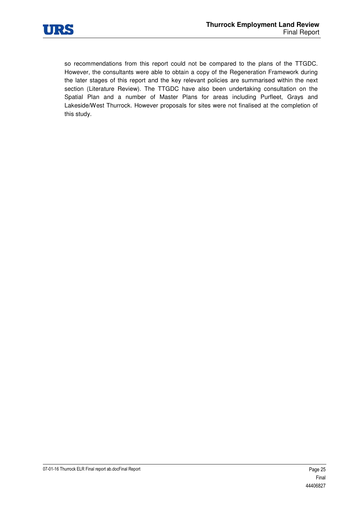

so recommendations from this report could not be compared to the plans of the TTGDC. However, the consultants were able to obtain a copy of the Regeneration Framework during the later stages of this report and the key relevant policies are summarised within the next section (Literature Review). The TTGDC have also been undertaking consultation on the Spatial Plan and a number of Master Plans for areas including Purfleet, Grays and Lakeside/West Thurrock. However proposals for sites were not finalised at the completion of this study.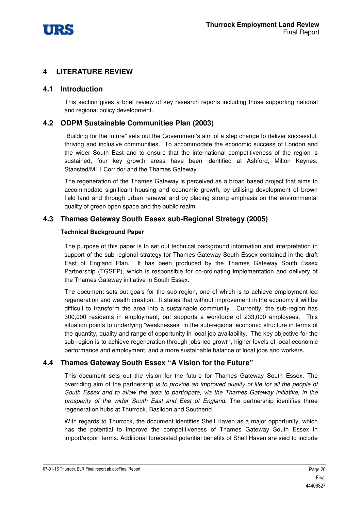

# **4 LITERATURE REVIEW**

# **4.1 Introduction**

This section gives a brief review of key research reports including those supporting national and regional policy development.

# **4.2 ODPM Sustainable Communities Plan (2003)**

"Building for the future" sets out the Government's aim of a step change to deliver successful, thriving and inclusive communities. To accommodate the economic success of London and the wider South East and to ensure that the international competitiveness of the region is sustained, four key growth areas have been identified at Ashford, Milton Keynes, Stansted/M11 Corridor and the Thames Gateway.

The regeneration of the Thames Gateway is perceived as a broad based project that aims to accommodate significant housing and economic growth, by utilising development of brown field land and through urban renewal and by placing strong emphasis on the environmental quality of green open space and the public realm.

# **4.3 Thames Gateway South Essex sub-Regional Strategy (2005)**

#### **Technical Background Paper**

The purpose of this paper is to set out technical background information and interpretation in support of the sub-regional strategy for Thames Gateway South Essex contained in the draft East of England Plan. It has been produced by the Thames Gateway South Essex Partnership (TGSEP), which is responsible for co-ordinating implementation and delivery of the Thames Gateway initiative in South Essex.

The document sets out goals for the sub-region, one of which is to achieve employment-led regeneration and wealth creation. It states that without improvement in the economy it will be difficult to transform the area into a sustainable community. Currently, the sub-region has 300,000 residents in employment, but supports a workforce of 233,000 employees. This situation points to underlying "weaknesses" in the sub-regional economic structure in terms of the quantity, quality and range of opportunity in local job availability. The key objective for the sub-region is to achieve regeneration through jobs-led growth, higher levels of local economic performance and employment, and a more sustainable balance of local jobs and workers.

# **4.4 Thames Gateway South Essex "A Vision for the Future"**

This document sets out the vision for the future for Thames Gateway South Essex. The overriding aim of the partnership is to provide an improved quality of life for all the people of South Essex and to allow the area to participate, via the Thames Gateway initiative, in the prosperity of the wider South East and East of England. The partnership identifies three regeneration hubs at Thurrock, Basildon and Southend.

With regards to Thurrock, the document identifies Shell Haven as a major opportunity, which has the potential to improve the competitiveness of Thames Gateway South Essex in import/export terms. Additional forecasted potential benefits of Shell Haven are said to include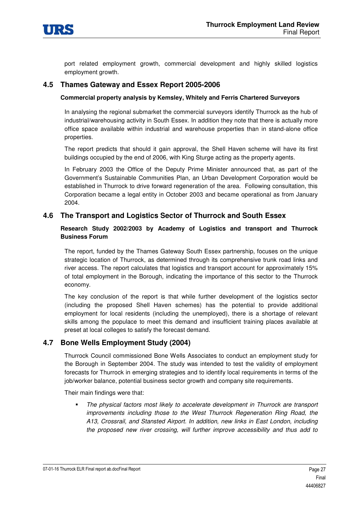

port related employment growth, commercial development and highly skilled logistics employment growth.

### **4.5 Thames Gateway and Essex Report 2005-2006**

#### **Commercial property analysis by Kemsley, Whitely and Ferris Chartered Surveyors**

In analysing the regional submarket the commercial surveyors identify Thurrock as the hub of industrial/warehousing activity in South Essex. In addition they note that there is actually more office space available within industrial and warehouse properties than in stand-alone office properties.

The report predicts that should it gain approval, the Shell Haven scheme will have its first buildings occupied by the end of 2006, with King Sturge acting as the property agents.

In February 2003 the Office of the Deputy Prime Minister announced that, as part of the Government's Sustainable Communities Plan, an Urban Development Corporation would be established in Thurrock to drive forward regeneration of the area. Following consultation, this Corporation became a legal entity in October 2003 and became operational as from January 2004.

### **4.6 The Transport and Logistics Sector of Thurrock and South Essex**

#### **Research Study 2002/2003 by Academy of Logistics and transport and Thurrock Business Forum**

The report, funded by the Thames Gateway South Essex partnership, focuses on the unique strategic location of Thurrock, as determined through its comprehensive trunk road links and river access. The report calculates that logistics and transport account for approximately 15% of total employment in the Borough, indicating the importance of this sector to the Thurrock economy.

The key conclusion of the report is that while further development of the logistics sector (including the proposed Shell Haven schemes) has the potential to provide additional employment for local residents (including the unemployed), there is a shortage of relevant skills among the populace to meet this demand and insufficient training places available at preset at local colleges to satisfy the forecast demand.

# **4.7 Bone Wells Employment Study (2004)**

Thurrock Council commissioned Bone Wells Associates to conduct an employment study for the Borough in September 2004. The study was intended to test the validity of employment forecasts for Thurrock in emerging strategies and to identify local requirements in terms of the job/worker balance, potential business sector growth and company site requirements.

Their main findings were that:

- The physical factors most likely to accelerate development in Thurrock are transport improvements including those to the West Thurrock Regeneration Ring Road, the A13, Crossrail, and Stansted Airport. In addition, new links in East London, including the proposed new river crossing, will further improve accessibility and thus add to

07-01-16 Thurrock ELR Final report ab.docFinal Report **Page 27** All entitled about 20 and 20 and 27 and 27 and 27 and 27 and 27 and 27 and 27 and 27 and 27 and 27 and 27 and 27 and 27 and 27 and 27 and 27 and 27 and 27 and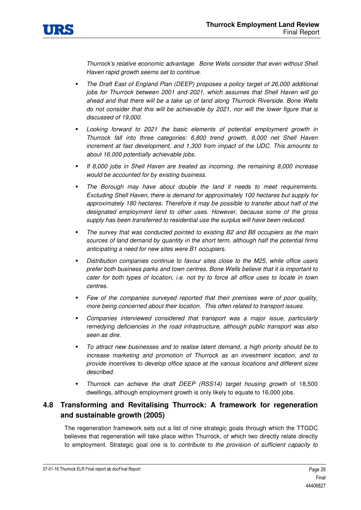

Thurrock's relative economic advantage. Bone Wells consider that even without Shell Haven rapid growth seems set to continue.

- - The Draft East of England Plan (DEEP) proposes a policy target of 26,000 additional jobs for Thurrock between 2001 and 2021, which assumes that Shell Haven will go ahead and that there will be a take up of land along Thurrock Riverside. Bone Wells do not consider that this will be achievable by 2021, nor will the lower figure that is discussed of 19,000.
- - Looking forward to 2021 the basic elements of potential employment growth in Thurrock fall into three categories: 6,800 trend growth, 8,000 net Shell Haven increment at fast development, and 1,300 from impact of the UDC. This amounts to about 16,000 potentially achievable jobs.
- - If 8,000 jobs in Shell Haven are treated as incoming, the remaining 8,000 increase would be accounted for by existing business.
- - The Borough may have about double the land it needs to meet requirements. Excluding Shell Haven, there is demand for approximately 100 hectares but supply for approximately 180 hectares. Therefore it may be possible to transfer about half of the designated employment land to other uses. However, because some of the gross supply has been transferred to residential use the surplus will have been reduced.
- - The survey that was conducted pointed to existing B2 and B8 occupiers as the main sources of land demand by quantity in the short term, although half the potential firms anticipating a need for new sites were B1 occupiers.
- - Distribution companies continue to favour sites close to the M25, while office users prefer both business parks and town centres. Bone Wells believe that it is important to cater for both types of location, i.e. not try to force all office uses to locate in town centres.
- - Few of the companies surveyed reported that their premises were of poor quality, more being concerned about their location. This often related to transport issues.
- - Companies interviewed considered that transport was a major issue, particularly remedying deficiencies in the road infrastructure, although public transport was also seen as dire.
- - To attract new businesses and to realise latent demand, a high priority should be to increase marketing and promotion of Thurrock as an investment location, and to provide incentives to develop office space at the various locations and different sizes described.
- - Thurrock can achieve the draft DEEP (RSS14) target housing growth of 18,500 dwellings, although employment growth is only likely to equate to 16,000 jobs.

# **4.8 Transforming and Revitalising Thurrock: A framework for regeneration and sustainable growth (2005)**

The regeneration framework sets out a list of nine strategic goals through which the TTGDC believes that regeneration will take place within Thurrock, of which two directly relate directly to employment. Strategic goal one is to contribute to the provision of sufficient capacity to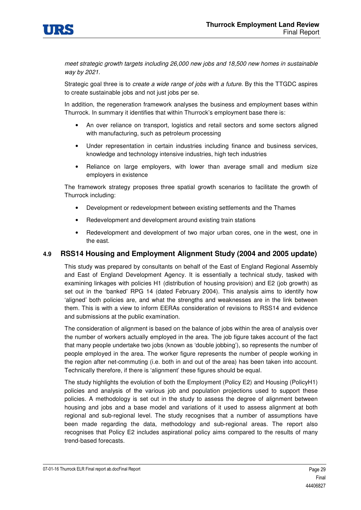

meet strategic growth targets including 26,000 new jobs and 18,500 new homes in sustainable way by 2021.

Strategic goal three is to create a wide range of jobs with a future. By this the TTGDC aspires to create sustainable jobs and not just jobs per se.

In addition, the regeneration framework analyses the business and employment bases within Thurrock. In summary it identifies that within Thurrock's employment base there is:

- An over reliance on transport, logistics and retail sectors and some sectors aligned with manufacturing, such as petroleum processing
- Under representation in certain industries including finance and business services, knowledge and technology intensive industries, high tech industries
- Reliance on large employers, with lower than average small and medium size employers in existence

The framework strategy proposes three spatial growth scenarios to facilitate the growth of Thurrock including:

- Development or redevelopment between existing settlements and the Thames
- Redevelopment and development around existing train stations
- Redevelopment and development of two major urban cores, one in the west, one in the east.

### **4.9 RSS14 Housing and Employment Alignment Study (2004 and 2005 update)**

This study was prepared by consultants on behalf of the East of England Regional Assembly and East of England Development Agency. It is essentially a technical study, tasked with examining linkages with policies H1 (distribution of housing provision) and E2 (job growth) as set out in the 'banked' RPG 14 (dated February 2004). This analysis aims to identify how 'aligned' both policies are, and what the strengths and weaknesses are in the link between them. This is with a view to inform EERAs consideration of revisions to RSS14 and evidence and submissions at the public examination.

The consideration of alignment is based on the balance of jobs within the area of analysis over the number of workers actually employed in the area. The job figure takes account of the fact that many people undertake two jobs (known as 'double jobbing'), so represents the number of people employed in the area. The worker figure represents the number of people working in the region after net-commuting (i.e. both in and out of the area) has been taken into account. Technically therefore, if there is 'alignment' these figures should be equal.

The study highlights the evolution of both the Employment (Policy E2) and Housing (PolicyH1) policies and analysis of the various job and population projections used to support these policies. A methodology is set out in the study to assess the degree of alignment between housing and jobs and a base model and variations of it used to assess alignment at both regional and sub-regional level. The study recognises that a number of assumptions have been made regarding the data, methodology and sub-regional areas. The report also recognises that Policy E2 includes aspirational policy aims compared to the results of many trend-based forecasts.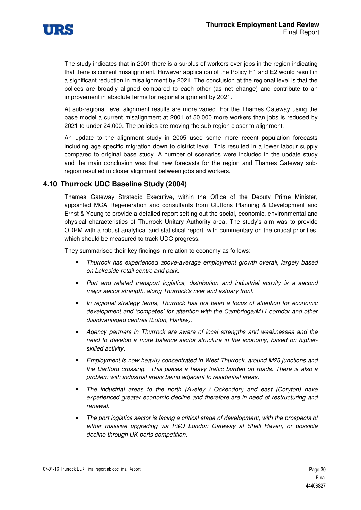

The study indicates that in 2001 there is a surplus of workers over jobs in the region indicating that there is current misalignment. However application of the Policy H1 and E2 would result in a significant reduction in misalignment by 2021. The conclusion at the regional level is that the polices are broadly aligned compared to each other (as net change) and contribute to an improvement in absolute terms for regional alignment by 2021.

At sub-regional level alignment results are more varied. For the Thames Gateway using the base model a current misalignment at 2001 of 50,000 more workers than jobs is reduced by 2021 to under 24,000. The policies are moving the sub-region closer to alignment.

An update to the alignment study in 2005 used some more recent population forecasts including age specific migration down to district level. This resulted in a lower labour supply compared to original base study. A number of scenarios were included in the update study and the main conclusion was that new forecasts for the region and Thames Gateway subregion resulted in closer alignment between jobs and workers.

# **4.10 Thurrock UDC Baseline Study (2004)**

Thames Gateway Strategic Executive, within the Office of the Deputy Prime Minister, appointed MCA Regeneration and consultants from Cluttons Planning & Development and Ernst & Young to provide a detailed report setting out the social, economic, environmental and physical characteristics of Thurrock Unitary Authority area. The study's aim was to provide ODPM with a robust analytical and statistical report, with commentary on the critical priorities, which should be measured to track UDC progress.

They summarised their key findings in relation to economy as follows:

- - Thurrock has experienced above-average employment growth overall, largely based on Lakeside retail centre and park.
- - Port and related transport logistics, distribution and industrial activity is a second major sector strength, along Thurrock's river and estuary front.
- - In regional strategy terms, Thurrock has not been a focus of attention for economic development and 'competes' for attention with the Cambridge/M11 corridor and other disadvantaged centres (Luton, Harlow).
- - Agency partners in Thurrock are aware of local strengths and weaknesses and the need to develop a more balance sector structure in the economy, based on higherskilled activity.
- - Employment is now heavily concentrated in West Thurrock, around M25 junctions and the Dartford crossing. This places a heavy traffic burden on roads. There is also a problem with industrial areas being adjacent to residential areas.
- - The industrial areas to the north (Aveley / Ockendon) and east (Coryton) have experienced greater economic decline and therefore are in need of restructuring and renewal.
- - The port logistics sector is facing a critical stage of development, with the prospects of either massive upgrading via P&O London Gateway at Shell Haven, or possible decline through UK ports competition.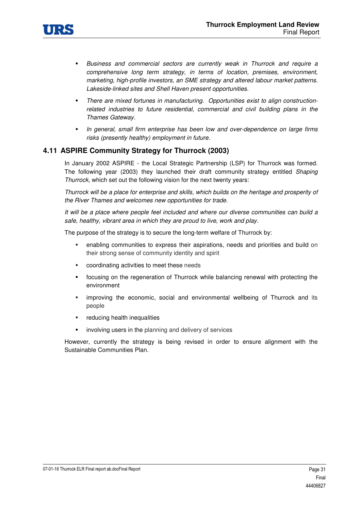

- - Business and commercial sectors are currently weak in Thurrock and require a comprehensive long term strategy, in terms of location, premises, environment, marketing, high-profile investors, an SME strategy and altered labour market patterns. Lakeside-linked sites and Shell Haven present opportunities.
- - There are mixed fortunes in manufacturing. Opportunities exist to align constructionrelated industries to future residential, commercial and civil building plans in the Thames Gateway.
- - In general, small firm enterprise has been low and over-dependence on large firms risks (presently healthy) employment in future.

# **4.11 ASPIRE Community Strategy for Thurrock (2003)**

In January 2002 ASPIRE - the Local Strategic Partnership (LSP) for Thurrock was formed. The following year (2003) they launched their draft community strategy entitled Shaping Thurrock, which set out the following vision for the next twenty years:

Thurrock will be a place for enterprise and skills, which builds on the heritage and prosperity of the River Thames and welcomes new opportunities for trade.

It will be a place where people feel included and where our diverse communities can build a safe, healthy, vibrant area in which they are proud to live, work and play.

The purpose of the strategy is to secure the long-term welfare of Thurrock by:

- enabling communities to express their aspirations, needs and priorities and build on their strong sense of community identity and spirit
- coordinating activities to meet these needs
- focusing on the regeneration of Thurrock while balancing renewal with protecting the environment
- improving the economic, social and environmental wellbeing of Thurrock and its people
- reducing health inequalities
- involving users in the planning and delivery of services

However, currently the strategy is being revised in order to ensure alignment with the Sustainable Communities Plan.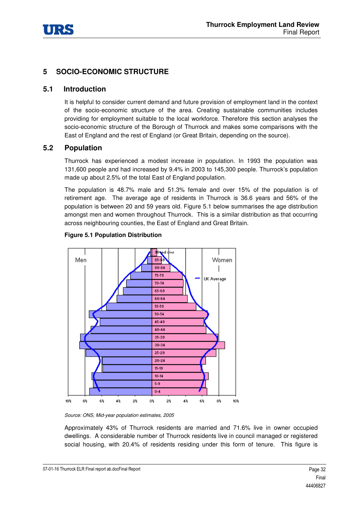

# **5 SOCIO-ECONOMIC STRUCTURE**

### **5.1 Introduction**

It is helpful to consider current demand and future provision of employment land in the context of the socio-economic structure of the area. Creating sustainable communities includes providing for employment suitable to the local workforce. Therefore this section analyses the socio-economic structure of the Borough of Thurrock and makes some comparisons with the East of England and the rest of England (or Great Britain, depending on the source).

# **5.2 Population**

Thurrock has experienced a modest increase in population. In 1993 the population was 131,600 people and had increased by 9.4% in 2003 to 145,300 people. Thurrock's population made up about 2.5% of the total East of England population.

The population is 48.7% male and 51.3% female and over 15% of the population is of retirement age. The average age of residents in Thurrock is 36.6 years and 56% of the population is between 20 and 59 years old. Figure 5.1 below summarises the age distribution amongst men and women throughout Thurrock. This is a similar distribution as that occurring across neighbouring counties, the East of England and Great Britain.



#### **Figure 5.1 Population Distribution**

Source: ONS, Mid-year population estimates, 2005

Approximately 43% of Thurrock residents are married and 71.6% live in owner occupied dwellings. A considerable number of Thurrock residents live in council managed or registered social housing, with 20.4% of residents residing under this form of tenure. This figure is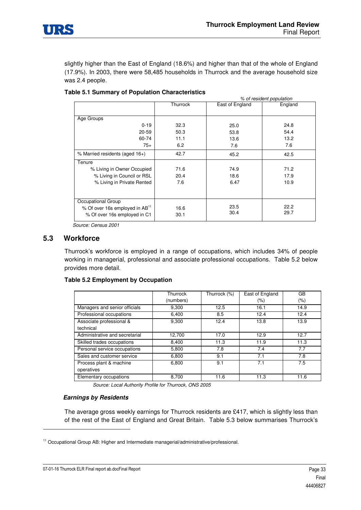

slightly higher than the East of England (18.6%) and higher than that of the whole of England (17.9%). In 2003, there were 58,485 households in Thurrock and the average household size was 2.4 people.

|                                            | % of resident population |                 |         |  |  |
|--------------------------------------------|--------------------------|-----------------|---------|--|--|
|                                            | Thurrock                 | East of England | England |  |  |
| Age Groups                                 |                          |                 |         |  |  |
| $0 - 19$                                   | 32.3                     | 25.0            | 24.8    |  |  |
| $20 - 59$                                  | 50.3                     | 53.8            | 54.4    |  |  |
| 60-74                                      | 11.1                     | 13.6            | 13.2    |  |  |
| $75+$                                      | 6.2                      | 7.6             | 7.6     |  |  |
| % Married residents (aged 16+)             | 42.7                     | 45.2            | 42.5    |  |  |
| Tenure                                     |                          |                 |         |  |  |
| % Living in Owner Occupied                 | 71.6                     | 74.9            | 71.2    |  |  |
| % Living in Council or RSL                 | 20.4                     | 18.6            | 17.9    |  |  |
| % Living in Private Rented                 | 7.6                      | 6.47            | 10.9    |  |  |
| Occupational Group                         |                          |                 |         |  |  |
| % Of over 16s employed in AB <sup>11</sup> | 16.6                     | 23.5            | 22.2    |  |  |
| % Of over 16s employed in C1               | 30.1                     | 30.4            | 29.7    |  |  |

#### **Table 5.1 Summary of Population Characteristics**

Source: Census 2001

### **5.3 Workforce**

Thurrock's workforce is employed in a range of occupations, which includes 34% of people working in managerial, professional and associate professional occupations. Table 5.2 below provides more detail.

#### **Table 5.2 Employment by Occupation**

|                                       | Thurrock  | Thurrock (%) | East of England | GB   |
|---------------------------------------|-----------|--------------|-----------------|------|
|                                       | (numbers) |              | (%)             | (% ) |
| Managers and senior officials         | 9.300     | 12.5         | 16.1            | 14.9 |
| Professional occupations              | 6,400     | 8.5          | 12.4            | 12.4 |
| Associate professional &<br>technical | 9.300     | 12.4         | 13.8            | 13.9 |
| Administrative and secretarial        | 12,700    | 17.0         | 12.9            | 12.7 |
| Skilled trades occupations            | 8,400     | 11.3         | 11.9            | 11.3 |
| Personal service occupations          | 5,800     | 7.8          | 7.4             | 7.7  |
| Sales and customer service            | 6.800     | 9.1          | 7.1             | 7.8  |
| Process plant & machine               | 6.800     | 9.1          | 7.1             | 7.5  |
| operatives                            |           |              |                 |      |
| Elementary occupations                | 8,700     | 11.6         | 11.3            | 11.6 |

Source: Local Authority Profile for Thurrock, ONS 2005

#### *Earnings by Residents*

The average gross weekly earnings for Thurrock residents are £417, which is slightly less than of the rest of the East of England and Great Britain. Table 5.3 below summarises Thurrock's

-

<sup>&</sup>lt;sup>11</sup> Occupational Group AB: Higher and Intermediate managerial/administrative/professional.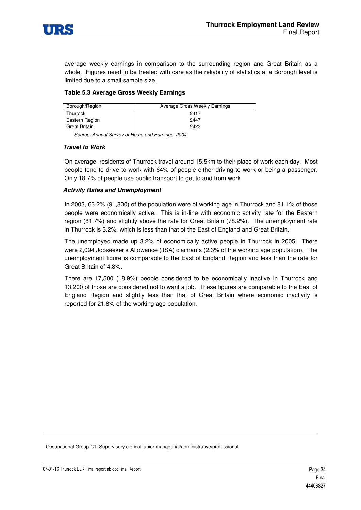

average weekly earnings in comparison to the surrounding region and Great Britain as a whole. Figures need to be treated with care as the reliability of statistics at a Borough level is limited due to a small sample size.

#### **Table 5.3 Average Gross Weekly Earnings**

| Borough/Region  | Average Gross Weekly Earnings |
|-----------------|-------------------------------|
| <b>Thurrock</b> | \$417                         |
| Eastern Region  | £447                          |
| Great Britain   | £423                          |

Source: Annual Survey of Hours and Earnings, 2004

#### *Travel to Work*

On average, residents of Thurrock travel around 15.5km to their place of work each day. Most people tend to drive to work with 64% of people either driving to work or being a passenger. Only 18.7% of people use public transport to get to and from work.

#### *Activity Rates and Unemployment*

In 2003, 63.2% (91,800) of the population were of working age in Thurrock and 81.1% of those people were economically active. This is in-line with economic activity rate for the Eastern region (81.7%) and slightly above the rate for Great Britain (78.2%). The unemployment rate in Thurrock is 3.2%, which is less than that of the East of England and Great Britain.

The unemployed made up 3.2% of economically active people in Thurrock in 2005. There were 2,094 Jobseeker's Allowance (JSA) claimants (2.3% of the working age population). The unemployment figure is comparable to the East of England Region and less than the rate for Great Britain of 4.8%.

There are 17,500 (18.9%) people considered to be economically inactive in Thurrock and 13,200 of those are considered not to want a job. These figures are comparable to the East of England Region and slightly less than that of Great Britain where economic inactivity is reported for 21.8% of the working age population.

Occupational Group C1: Supervisory clerical junior managerial/administrative/professional.

-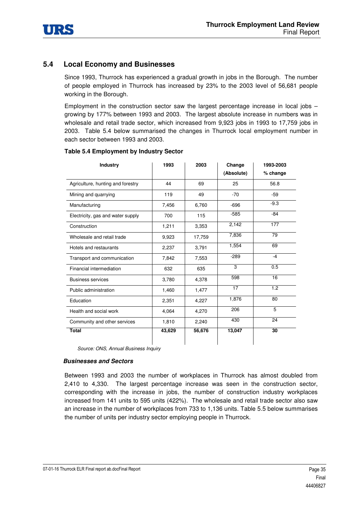

# **5.4 Local Economy and Businesses**

Since 1993, Thurrock has experienced a gradual growth in jobs in the Borough. The number of people employed in Thurrock has increased by 23% to the 2003 level of 56,681 people working in the Borough.

Employment in the construction sector saw the largest percentage increase in local jobs  $$ growing by 177% between 1993 and 2003. The largest absolute increase in numbers was in wholesale and retail trade sector, which increased from 9,923 jobs in 1993 to 17,759 jobs in 2003. Table 5.4 below summarised the changes in Thurrock local employment number in each sector between 1993 and 2003.

| <b>Industry</b>                   | 1993   | 2003   | Change<br>(Absolute) | 1993-2003<br>% change |
|-----------------------------------|--------|--------|----------------------|-----------------------|
| Agriculture, hunting and forestry | 44     | 69     | 25                   | 56.8                  |
| Mining and quarrying              | 119    | 49     | $-70$                | $-59$                 |
| Manufacturing                     | 7,456  | 6,760  | $-696$               | $-9.3$                |
| Electricity, gas and water supply | 700    | 115    | $-585$               | $-84$                 |
| Construction                      | 1,211  | 3,353  | 2,142                | 177                   |
| Wholesale and retail trade        | 9,923  | 17,759 | 7,836                | 79                    |
| Hotels and restaurants            | 2,237  | 3,791  | 1,554                | 69                    |
| Transport and communication       | 7,842  | 7,553  | $-289$               | $-4$                  |
| Financial intermediation          | 632    | 635    | 3                    | 0.5                   |
| <b>Business services</b>          | 3,780  | 4,378  | 598                  | 16                    |
| Public administration             | 1,460  | 1,477  | 17                   | 1.2                   |
| Education                         | 2,351  | 4,227  | 1,876                | 80                    |
| Health and social work            | 4,064  | 4,270  | 206                  | 5                     |
| Community and other services      | 1,810  | 2,240  | 430                  | 24                    |
| <b>Total</b>                      | 43,629 | 56,676 | 13,047               | 30                    |

#### **Table 5.4 Employment by Industry Sector**

Source: ONS, Annual Business Inquiry

#### *Businesses and Sectors*

Between 1993 and 2003 the number of workplaces in Thurrock has almost doubled from 2,410 to 4,330. The largest percentage increase was seen in the construction sector, corresponding with the increase in jobs, the number of construction industry workplaces increased from 141 units to 595 units (422%). The wholesale and retail trade sector also saw an increase in the number of workplaces from 733 to 1,136 units. Table 5.5 below summarises the number of units per industry sector employing people in Thurrock.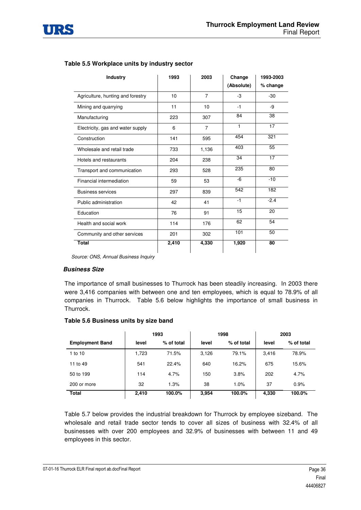

| <b>Industry</b>                   | 1993  | 2003           | Change     | 1993-2003 |
|-----------------------------------|-------|----------------|------------|-----------|
|                                   |       |                | (Absolute) | % change  |
| Agriculture, hunting and forestry | 10    | $\overline{7}$ | $-3$       | $-30$     |
| Mining and quarrying              | 11    | 10             | $-1$       | -9        |
| Manufacturing                     | 223   | 307            | 84         | 38        |
| Electricity, gas and water supply | 6     | $\overline{7}$ | 1          | 17        |
| Construction                      | 141   | 595            | 454        | 321       |
| Wholesale and retail trade        | 733   | 1,136          | 403        | 55        |
| Hotels and restaurants            | 204   | 238            | 34         | 17        |
| Transport and communication       | 293   | 528            | 235        | 80        |
| Financial intermediation          | 59    | 53             | -6         | $-10$     |
| <b>Business services</b>          | 297   | 839            | 542        | 182       |
| Public administration             | 42    | 41             | $-1$       | $-2.4$    |
| Education                         | 76    | 91             | 15         | 20        |
| Health and social work            | 114   | 176            | 62         | 54        |
| Community and other services      | 201   | 302            | 101        | 50        |
| <b>Total</b>                      | 2,410 | 4,330          | 1,920      | 80        |

#### **Table 5.5 Workplace units by industry sector**

Source: ONS, Annual Business Inquiry

#### *Business Size*

The importance of small businesses to Thurrock has been steadily increasing. In 2003 there were 3,416 companies with between one and ten employees, which is equal to 78.9% of all companies in Thurrock. Table 5.6 below highlights the importance of small business in Thurrock.

#### **Table 5.6 Business units by size band**

|                        |       | 1993       | 1998  |            | 2003  |            |
|------------------------|-------|------------|-------|------------|-------|------------|
| <b>Employment Band</b> | level | % of total | level | % of total | level | % of total |
| 1 to 10                | 1,723 | 71.5%      | 3,126 | 79.1%      | 3,416 | 78.9%      |
| 11 to 49               | 541   | 22.4%      | 640   | 16.2%      | 675   | 15.6%      |
| 50 to 199              | 114   | 4.7%       | 150   | 3.8%       | 202   | 4.7%       |
| 200 or more            | 32    | 1.3%       | 38    | 1.0%       | 37    | 0.9%       |
| <b>Total</b>           | 2,410 | 100.0%     | 3,954 | 100.0%     | 4,330 | 100.0%     |

Table 5.7 below provides the industrial breakdown for Thurrock by employee sizeband. The wholesale and retail trade sector tends to cover all sizes of business with 32.4% of all businesses with over 200 employees and 32.9% of businesses with between 11 and 49 employees in this sector.

07-01-16 Thurrock ELR Final report ab.docFinal Report **Page 36** November 2012 12:00 Page 36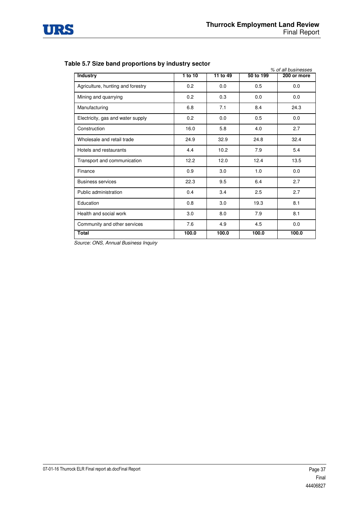

#### **Table 5.7 Size band proportions by industry sector**

|                                   |         |          | % of all businesses |             |  |
|-----------------------------------|---------|----------|---------------------|-------------|--|
| <b>Industry</b>                   | 1 to 10 | 11 to 49 | 50 to 199           | 200 or more |  |
| Agriculture, hunting and forestry | 0.2     | 0.0      | 0.5                 | 0.0         |  |
| Mining and quarrying              | 0.2     | 0.3      | 0.0                 | 0.0         |  |
| Manufacturing                     | 6.8     | 7.1      | 8.4                 | 24.3        |  |
| Electricity, gas and water supply | 0.2     | 0.0      | 0.5                 | 0.0         |  |
| Construction                      | 16.0    | 5.8      | 4.0                 | 2.7         |  |
| Wholesale and retail trade        | 24.9    | 32.9     | 24.8                | 32.4        |  |
| Hotels and restaurants            | 4.4     | 10.2     | 7.9                 | 5.4         |  |
| Transport and communication       | 12.2    | 12.0     | 12.4                | 13.5        |  |
| Finance                           | 0.9     | 3.0      | 1.0                 | 0.0         |  |
| <b>Business services</b>          | 22.3    | 9.5      | 6.4                 | 2.7         |  |
| Public administration             | 0.4     | 3.4      | 2.5                 | 2.7         |  |
| Education                         | 0.8     | 3.0      | 19.3                | 8.1         |  |
| Health and social work            | 3.0     | 8.0      | 7.9                 | 8.1         |  |
| Community and other services      | 7.6     | 4.9      | 4.5                 | 0.0         |  |
| <b>Total</b>                      | 100.0   | 100.0    | 100.0               | 100.0       |  |

Source: ONS, Annual Business Inquiry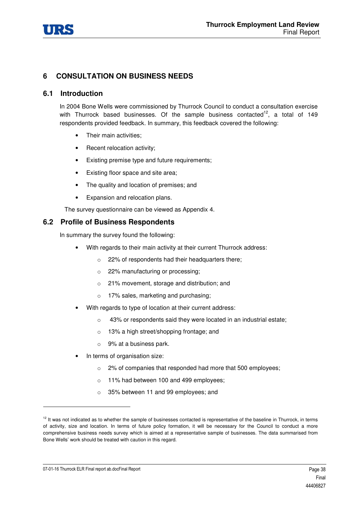

# **6 CONSULTATION ON BUSINESS NEEDS**

### **6.1 Introduction**

In 2004 Bone Wells were commissioned by Thurrock Council to conduct a consultation exercise with Thurrock based businesses. Of the sample business contacted<sup>12</sup>, a total of 149 respondents provided feedback. In summary, this feedback covered the following:

- Their main activities;
- Recent relocation activity:
- Existing premise type and future requirements;
- Existing floor space and site area;
- The quality and location of premises; and
- Expansion and relocation plans.

The survey questionnaire can be viewed as Appendix 4.

# **6.2 Profile of Business Respondents**

In summary the survey found the following:

- With regards to their main activity at their current Thurrock address:
	- o 22% of respondents had their headquarters there;
	- o 22% manufacturing or processing;
	- o 21% movement, storage and distribution; and
	- o 17% sales, marketing and purchasing;
- With regards to type of location at their current address:
	- o 43% or respondents said they were located in an industrial estate;
	- o 13% a high street/shopping frontage; and
	- $\circ$  9% at a business park.
- In terms of organisation size:
	- o 2% of companies that responded had more that 500 employees;
	- o 11% had between 100 and 499 employees;
	- o 35% between 11 and 99 employees; and

07-01-16 Thurrock ELR Final report ab.docFinal Report **About 2018** 2019 12:00 12:00 12:00 12:00 12:00 12:00 12:00 12:00 12:00 12:00 12:00 12:00 12:00 12:00 12:00 12:00 12:00 12:00 12:00 12:00 12:00 12:00 12:00 12:00 12:00

-

<sup>&</sup>lt;sup>12</sup> It was not indicated as to whether the sample of businesses contacted is representative of the baseline in Thurrock, in terms of activity, size and location. In terms of future policy formation, it will be necessary for the Council to conduct a more comprehensive business needs survey which is aimed at a representative sample of businesses. The data summarised from Bone Wells' work should be treated with caution in this regard.